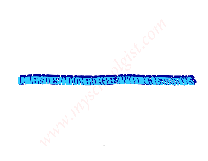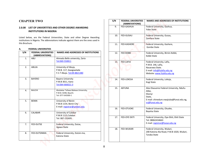# **CHAPTER TWO**

# **2.0.00 LIST OF UNIVERTITIES AND OTHER DEGREE AWARDING INSTITUTIONS IN NIGERIA**

#### **A. FEDERAL UNIVERSITIES**

| S/N | <b>FEDERAL UNVERSITIES</b><br>(ABBREVIATIONS) | <b>NAMES AND ADDRESSES OF INSTITUTIONS</b>                                      |
|-----|-----------------------------------------------|---------------------------------------------------------------------------------|
| 1.  | ABU                                           | Ahmadu Bello university, Zaria<br>Tel:069-550811                                |
| 2.  | <b>ABUJA</b>                                  | University of Abuja,<br>P.M.B. 117, Gwagwalada<br>F.C.T Abuja. Tel:09-8821380   |
| 3.  | <b>BAYERO</b>                                 | <b>Bayero University</b><br>P.M.B 3011, Kano<br>Tel:064-666021-3                |
| 4.  | <b>BAUCHI</b>                                 | Abubakar Tafawa Balewa University,<br>P.M.B. 0248, Bauchi.<br>Tel: 077-543500-1 |
| 5.  | <b>BENIN</b>                                  | University of Benin<br>P.M.B 1154, Benin City<br>E-mail: registrar@uniben.edu   |
| 6.  | CALABAR                                       | University of Calabar<br>P.M.B 1115, Calabar<br>Tel: 087-232695                 |
| 7.  | <b>FED-DUTSE</b>                              | Federal University, Dutse,<br>Jigawa State                                      |
| 8.  | FED-DUTSINMA                                  | Federal University, Dutsin-ma,<br>Katsina State                                 |

|             | <b>HAPTER TWO</b>                             |                                                                                                                                                               | S/N | <b>FEDERAL UNVERSITIES</b><br>(ABBREVIATIONS) | <b>NAMES AND ADDRESSES OF INSTITUTIONS</b>                                                       |
|-------------|-----------------------------------------------|---------------------------------------------------------------------------------------------------------------------------------------------------------------|-----|-----------------------------------------------|--------------------------------------------------------------------------------------------------|
|             | <b>INSTITUTIONS IN NIGERIA</b>                | .00 LIST OF UNIVERTITIES AND OTHER DEGREE AWARDING                                                                                                            | 9.  | FED-GASHUA                                    | Federal University, Gashua,<br>Yobe State                                                        |
|             |                                               | ed below, are the Federal Universities, State and other Degree Awarding<br>titutions in Nigeria. The abbreviations indicate against them are the ones used in | 10. | FED-GUSAU                                     | Federal University, Gusau,<br>Zamfara State                                                      |
| s Brochure. | <b>FEDERAL UNIVERSITIES</b>                   |                                                                                                                                                               | 11. | FED-KASHERE                                   | Federal University, Kashere,<br>Gombe State                                                      |
| S/N         | <b>FEDERAL UNVERSITIES</b><br>(ABBREVIATIONS) | <b>NAMES AND ADDRESSES OF INSTITUTIONS</b>                                                                                                                    | 12. | FED-KEBBI                                     | Federal University, Birnin-Kebbi,<br>Kebbi State                                                 |
| 1.          | ABU                                           | Ahmadu Bello university, Zaria<br>Tel:069-550811                                                                                                              | 13. | <b>FED-LAFIA</b>                              | Federal University, Lafia,<br>P.M.B. 146, Lafia,                                                 |
| 2.          | ABUJA                                         | University of Abuja,<br>P.M.B. 117, Gwagwalada<br>F.C.T Abuja. Tel:09-8821380                                                                                 |     |                                               | Nasarawa State.<br>E-mail: info@fulafia.edu.ng<br>Website: www.fulafia.edu.ng                    |
| 3.          | <b>BAYERO</b>                                 | <b>Bayero University</b><br>P.M.B 3011, Kano<br>Tel:064-666021-3                                                                                              | 14. | FED-LOKOJA                                    | Federal University, Lokoja,<br>Kogi State                                                        |
| 4.          | <b>BAUCHI</b>                                 | Abubakar Tafawa Balewa University,<br>P.M.B. 0248, Bauchi.<br>Tel: 077-543500-1                                                                               | 15. | <b>AEFUNA</b>                                 | Alex Ekwueme Federal University, Ndufu-<br>Alike,<br>Ebonyi<br>State,                            |
| 5.          | <b>BENIN</b>                                  | University of Benin<br>P.M.B 1154, Benin City<br>E-mail: registrar@uniben.edu                                                                                 |     |                                               | E-mail: chinedum.nwajiuba@funai.edu.ng,<br>vc@funai.edu.ng                                       |
| 6.          | CALABAR                                       | University of Calabar<br>P.M.B 1115, Calabar                                                                                                                  | 16. | FED-OTUOKE                                    | Federal University, Otuoke,<br>Bayelsa State                                                     |
|             |                                               | Tel: 087-232695                                                                                                                                               | 17. | FED-OYE EKITI                                 | Federal University, Oye-Ekiti, Ekiti State<br>Tel: 08062434663<br>E-mail: registrar@fuoye.edu.ng |
| 7.          | FED-DUTSE                                     | Federal University, Dutse,<br>Jigawa State                                                                                                                    | 18. | FED-WUKARI                                    | Federal University, Wukari,                                                                      |
| 8.          | FED-DUTSINMA                                  | Federal University, Dutsin-ma,<br>Katsina State                                                                                                               |     |                                               | 200 Katsina-Ala Road, P.M.B 1020, Wukari,<br>Taraba State                                        |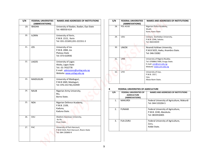| S/N | <b>FEDERAL UNVERSITIES</b><br>(ABBREVIATIONS) | <b>NAMES AND ADDRESSES OF INSTITUTIONS</b>                                                                 | S/N        | <b>FEDERAL UNVERSITIES</b><br>(ABBREVIATIONS)                                                           | <b>NAMES AND ADDRESSES OF INSTITUTIONS</b>                                                                                                 |
|-----|-----------------------------------------------|------------------------------------------------------------------------------------------------------------|------------|---------------------------------------------------------------------------------------------------------|--------------------------------------------------------------------------------------------------------------------------------------------|
| 19. | <b>IBADAN</b>                                 | University of Ibadan, Ibadan, Oyo State<br>Tel: 400550-614                                                 | 28.        | POL-ACAD                                                                                                | Nigerian Police Academy,<br>Wudil,<br>Kano, Kano State                                                                                     |
| 20. | <b>ILORIN</b>                                 | University of Ilorin,<br>P.M.B.1515, Ilorin<br>Tel: 031-221691,031-221551-3                                | 29.        | UDU                                                                                                     | Usmanu Danfodiyo University,<br>P.M.B. 2346, Sokoto.<br>Tel: 060234039                                                                     |
| 21. | <b>JOS</b>                                    | University of Jos<br>P.M.B. 2084, Jos<br>Plateau State<br>Tel: 073-610936                                  | 30.        | <b>UNIZIK</b>                                                                                           | Nnamdi Azikiwe University,<br>P.M.B 5025, Awka, Anambra State.<br>Tel: 046-55082                                                           |
| 22. | LAGOS                                         | University of Lagos<br>Akoka, Lagos State<br>Tel:: 01-7432778<br>E-mail: admissions@unilag.edu.ng          | 31.<br>32. | <b>UNN</b><br><b>UYO</b>                                                                                | University of Nigeria Nsukka.<br>Tel: 07088617000, Enugu State.<br>E-mail: unn@unn.edu.ng<br>Website: www.unn.edu.ng<br>University of Uyo, |
| 23. | <b>MAIDUGURI</b>                              | Website: www.unilag.edu.ng<br>University of Maiduguri,<br>P.M.B 1069, Maiduguri,<br>Tel: 076-231730,232949 |            |                                                                                                         | P.M.B. 1017,<br>Uyo,<br>Akwa-Ibom State.                                                                                                   |
| 24. | <b>NAUB</b>                                   | Nigerian Army University,<br>Biu,<br>Borno State.                                                          | В<br>S/N   | FEDERAL UNIVERSITIES OF AGRICULTURE<br>FEDERAL UNIVERSITIES OF<br><b>AGRICULTURE</b><br>(ABBREVIATIONS) | NAMES AND ADDRESSES OF INSTITUTIONS                                                                                                        |
| 25. | <b>NDA</b>                                    | Nigerian Defence Academy,<br>P.M.B. 2109,                                                                  | 1.         | <b>MAKURDI</b>                                                                                          | Federal University of Agriculture, Makurdi<br>Tel: 044-533204-5                                                                            |
|     |                                               | Kaduna,<br>Kaduna State.                                                                                   | 2.         | <b>FUNAAB</b>                                                                                           | Federal University of Agriculture,<br>P.M.B. 2240, Abeokuta.<br>Tel: 0833918405                                                            |
|     |                                               | lle-Ife,<br>Osun State.                                                                                    | 3.         | <b>FUA-ZURU</b>                                                                                         | Federal University of Agriculture,<br>Zuru,                                                                                                |
| 27. | PHC                                           | University of Port-Harcourt,<br>P.M.B 5323, Port-Harcourt, Rivers State<br>Tel: 084-230890-9               |            |                                                                                                         | Kebbi State.                                                                                                                               |
| 26. | OAU                                           | Obafemi Awolowo University,                                                                                |            |                                                                                                         |                                                                                                                                            |

| S/N | <b>FEDERAL UNVERSITIES</b><br>(ABBREVIATIONS) | <b>NAMES AND ADDRESSES OF INSTITUTIONS</b>                                                                           |
|-----|-----------------------------------------------|----------------------------------------------------------------------------------------------------------------------|
| 28. | POL-ACAD                                      | Nigerian Police Academy,<br>Wudil.<br>Kano, Kano State                                                               |
| 29. | <b>UDU</b>                                    | Usmanu Danfodiyo University,<br>P.M.B. 2346, Sokoto.<br>Tel: 060234039                                               |
| 30. | <b>UNIZIK</b>                                 | Nnamdi Azikiwe University,<br>P.M.B 5025, Awka, Anambra State.<br>Tel: 046-55082                                     |
| 31. | <b>UNN</b>                                    | University of Nigeria Nsukka.<br>Tel: 07088617000, Enugu State.<br>E-mail: unn@unn.edu.ng<br>Website: www.unn.edu.ng |
| 32. | <b>UYO</b>                                    | University of Uyo,<br>P.M.B. 1017,<br>Uyo,<br>Akwa-Ibom State.                                                       |

# **B FEDERAL UNIVERSITIES OF AGRICULTURE**

| S/N | <b>FEDERAL UNIVERSITIES OF</b><br><b>AGRICULTURE</b><br>(ABBREVIATIONS) | <b>NAMES AND ADDRESSES OF INSTITUTIONS</b>                                      |
|-----|-------------------------------------------------------------------------|---------------------------------------------------------------------------------|
| 1.  | <b>MAKURDI</b>                                                          | Federal University of Agriculture, Makurdi<br>Tel: 044-533204-5                 |
| 2.  | <b>FUNAAB</b>                                                           | Federal University of Agriculture,<br>P.M.B. 2240, Abeokuta.<br>Tel: 0833918405 |
| 3.  | <b>FUA-ZURU</b>                                                         | Federal University of Agriculture,<br>Zuru,<br>Kebbi State.                     |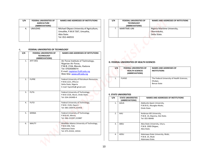| S/N | <b>FEDERAL UNIVERSITIES OF</b><br><b>AGRICULTURE</b><br>(ABBREVIATIONS) | NAMES AND ADDRESSES OF INSTITUTIONS                                                                          |
|-----|-------------------------------------------------------------------------|--------------------------------------------------------------------------------------------------------------|
| 4.  | UMUDIKE                                                                 | Michael Okpara University of Agriculture,<br>Umudike, P.M.B 7267, Umuahia,<br>Abia State.<br>Tel: 052-440555 |

#### **C. FEDERAL UNIVERSITIES OF TECHNOLOGY**

| S/N | FEDERAL UNIVERSITIES OF<br><b>AGRICULTURE</b><br>(ABBREVIATIONS) | <b>NAMES AND ADDRESSES OF INSTITUTIONS</b>                                                                               | S/N | FEDERAL UNIVERSITIES OF<br><b>TECHNOLOGY</b><br>(ABBREVIATIONS) |                | <b>NAMES AND ADDRESSES OF INTITUTIONS</b>                                   |
|-----|------------------------------------------------------------------|--------------------------------------------------------------------------------------------------------------------------|-----|-----------------------------------------------------------------|----------------|-----------------------------------------------------------------------------|
| 4.  | <b>UMUDIKE</b>                                                   | Michael Okpara University of Agriculture,<br>Umudike, P.M.B 7267, Umuahia,<br>Abia State.<br>Tel: 052-440555             | 7.  | MARITIME-UNI                                                    |                | Nigeria Maritime University,<br>Okerenkoko,<br>Delta State.                 |
|     |                                                                  | P.M.B. 2104, Mando, Kaduna<br>Tel: 07029306014                                                                           | S/N | <b>FEDERAL UNIVERSITIES OF</b>                                  |                | <b>NAMES AND ADDRESSES OF</b>                                               |
|     |                                                                  | E-mail: registrar@afit.edu.ng<br>Web Site: www.afit.edu.nq                                                               |     | <b>HEALTH SCIENCES</b><br>(ABBREVIATIONS)                       |                | <b>INSTITUTIONS</b>                                                         |
| 2.  | <b>FUPRE</b>                                                     | Federal University of Petroleum Resources,<br>P.M.B.1221, Effurun<br>Delta State, Nigeria<br>E-mail: fupreifo@ gmail.com | 1.  | <b>FUHSO</b>                                                    |                | The Federal University of Health Sciences,<br>Otukpo,<br><b>Benue State</b> |
| 3.  | <b>FUTA</b>                                                      | Federal University of Technology,                                                                                        |     |                                                                 |                |                                                                             |
|     |                                                                  | P.M.B 1526, Akure, Ondo State.<br>Tel: 034-243490-4                                                                      | S/N | <b>E. STATE UNIVERSITIES</b><br><b>STATE UNIVERSITIES</b>       |                | NAMES AND ADDRESSES OF INSTITUTIONS                                         |
| 4.  | <b>FUTO</b>                                                      | Federal University of Technology,<br>P.M.B. 1526, Owerri.<br>Tel: 083-230974,233456                                      | 1.  | (ABBREVIATIONS)<br>AAUA                                         | Ondo State     | Adekunle Ajasin University,<br>P.M.B 01, Akungba-Akoko,                     |
| 5.  | <b>MINNA</b>                                                     | <b>Federal University of Technology</b><br>P.M.B 65, Minna.<br>Tel: 066-222397,222887                                    | 2.  | AAU                                                             | Tel: 055-98448 | Ambrose Alli University,<br>P.M.B. 14, Ekpoma, Edo State.                   |
| 6.  | <b>MAUTY</b>                                                     | Modibbo Adama University of Technology,<br>P.M.B 206, Yola<br>Adamawa State<br>Tel: 075-25332, 24532.                    | 3.  | ABSU                                                            | Abia State.    | Abia State University, Uturu.<br>P.M.B. 2000 Okigwe,                        |

| S/N | <b>FEDERAL UNIVERSITIES OF</b><br><b>TECHNOLOGY</b><br>(ABBREVIATIONS) | NAMES AND ADDRESSES OF INTITUTIONS                          |
|-----|------------------------------------------------------------------------|-------------------------------------------------------------|
| 7.  | MARITIME-UNI                                                           | Nigeria Maritime University,<br>Okerenkoko,<br>Delta State. |

## **D. FEDERAL UNIVERSITIES OF HEALTH SCIENCES**

| S/N | <b>FEDERAL UNIVERSITIES OF</b><br><b>HEALTH SCIENCES</b><br>(ABBREVIATIONS) | <b>NAMES AND ADDRESSES OF</b><br><b>INSTITUTIONS</b>                 |
|-----|-----------------------------------------------------------------------------|----------------------------------------------------------------------|
| 1.  | <b>FUHSO</b>                                                                | The Federal University of Health Sciences,<br>Otukpo,<br>Benue State |

# **E. STATE UNIVERSITIES**

| S/N | <b>STATE UNIVERSITIES</b><br>(ABBREVIATIONS) | <b>NAMES AND ADDRESSES OF INSTITUTIONS</b>              |
|-----|----------------------------------------------|---------------------------------------------------------|
| 1.  | <b>AAUA</b>                                  | Adekunle Ajasin University,<br>P.M.B 01, Akungba-Akoko, |
|     |                                              | Ondo State                                              |
| 2.  | AAU                                          | Ambrose Alli University,                                |
|     |                                              | P.M.B. 14, Ekpoma, Edo State.                           |
|     |                                              | Tel: 055-98448                                          |
| 3.  | ABSU                                         | Abia State University, Uturu.                           |
|     |                                              | P.M.B. 2000 Okigwe,                                     |
|     |                                              | Abia State.                                             |
| 4.  | ADSU                                         | Adamawa State University, Mubi,                         |
|     |                                              | P.M.B. 25, Mubi                                         |
|     |                                              | Adamawa State.                                          |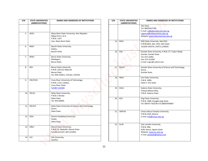| 5.<br>AKSU<br>Akwa Ibom State University, Ikot-Akpaden<br>Mkpat Enin L.G.A.<br>P.M.B. 1167<br>Uyo, Akwa Ibom State<br><b>BASU</b><br>Bauchi State University,<br>6.<br>Gadau,<br>Bauchi State.<br>7.<br><b>BOSU</b><br>Borno State University,<br>Maiduguri,<br>Borno State.<br>8.<br><b>BSU</b><br><b>Benue State University</b><br>P.M.B. 102119, Makurdi<br><b>Benue State</b><br>Tel: 044-533811, 531162, 532550<br>9.<br><b>CRUTECH</b><br>Cross River University of Technology,<br>P.M.B. 1123, Calabar,<br>Cross River State.<br>Tel:087-232303<br>10.<br><b>DELSU</b><br>Delta State University,<br>P.M.B 1 Abraka<br>Delta State<br>Tel: 054-66009.<br>11.<br><b>DELSUT</b><br>Delta State University of Science and Technology,<br>Ozoro,<br>Delta State.<br>12.<br>DOU<br>Dennis Osadebay University,<br>Asaba,<br>Delta State.<br>13.<br>EBSU<br>Ebonyi State University,<br>P.M.B.53. Abakaliki, Ebonyi State.<br>Tel:043-221337, 043-221093.<br><b>EUI</b><br>14.<br>Edo University,<br>lyamho, | S/N | <b>STATE UNIVERSITIES</b> | NAMES AND ADDRESSES OF INSTITUTIONS |
|---------------------------------------------------------------------------------------------------------------------------------------------------------------------------------------------------------------------------------------------------------------------------------------------------------------------------------------------------------------------------------------------------------------------------------------------------------------------------------------------------------------------------------------------------------------------------------------------------------------------------------------------------------------------------------------------------------------------------------------------------------------------------------------------------------------------------------------------------------------------------------------------------------------------------------------------------------------------------------------------------------------|-----|---------------------------|-------------------------------------|
|                                                                                                                                                                                                                                                                                                                                                                                                                                                                                                                                                                                                                                                                                                                                                                                                                                                                                                                                                                                                               |     | (ABBREVIATIONS)           |                                     |
|                                                                                                                                                                                                                                                                                                                                                                                                                                                                                                                                                                                                                                                                                                                                                                                                                                                                                                                                                                                                               |     |                           |                                     |
|                                                                                                                                                                                                                                                                                                                                                                                                                                                                                                                                                                                                                                                                                                                                                                                                                                                                                                                                                                                                               |     |                           |                                     |
|                                                                                                                                                                                                                                                                                                                                                                                                                                                                                                                                                                                                                                                                                                                                                                                                                                                                                                                                                                                                               |     |                           |                                     |
|                                                                                                                                                                                                                                                                                                                                                                                                                                                                                                                                                                                                                                                                                                                                                                                                                                                                                                                                                                                                               |     |                           |                                     |
|                                                                                                                                                                                                                                                                                                                                                                                                                                                                                                                                                                                                                                                                                                                                                                                                                                                                                                                                                                                                               |     |                           |                                     |
|                                                                                                                                                                                                                                                                                                                                                                                                                                                                                                                                                                                                                                                                                                                                                                                                                                                                                                                                                                                                               |     |                           |                                     |
|                                                                                                                                                                                                                                                                                                                                                                                                                                                                                                                                                                                                                                                                                                                                                                                                                                                                                                                                                                                                               |     |                           |                                     |
|                                                                                                                                                                                                                                                                                                                                                                                                                                                                                                                                                                                                                                                                                                                                                                                                                                                                                                                                                                                                               |     |                           |                                     |
|                                                                                                                                                                                                                                                                                                                                                                                                                                                                                                                                                                                                                                                                                                                                                                                                                                                                                                                                                                                                               |     |                           |                                     |
|                                                                                                                                                                                                                                                                                                                                                                                                                                                                                                                                                                                                                                                                                                                                                                                                                                                                                                                                                                                                               |     |                           |                                     |
|                                                                                                                                                                                                                                                                                                                                                                                                                                                                                                                                                                                                                                                                                                                                                                                                                                                                                                                                                                                                               |     |                           |                                     |
|                                                                                                                                                                                                                                                                                                                                                                                                                                                                                                                                                                                                                                                                                                                                                                                                                                                                                                                                                                                                               |     |                           |                                     |
|                                                                                                                                                                                                                                                                                                                                                                                                                                                                                                                                                                                                                                                                                                                                                                                                                                                                                                                                                                                                               |     |                           |                                     |
|                                                                                                                                                                                                                                                                                                                                                                                                                                                                                                                                                                                                                                                                                                                                                                                                                                                                                                                                                                                                               |     |                           |                                     |
|                                                                                                                                                                                                                                                                                                                                                                                                                                                                                                                                                                                                                                                                                                                                                                                                                                                                                                                                                                                                               |     |                           |                                     |
|                                                                                                                                                                                                                                                                                                                                                                                                                                                                                                                                                                                                                                                                                                                                                                                                                                                                                                                                                                                                               |     |                           |                                     |
|                                                                                                                                                                                                                                                                                                                                                                                                                                                                                                                                                                                                                                                                                                                                                                                                                                                                                                                                                                                                               |     |                           |                                     |
|                                                                                                                                                                                                                                                                                                                                                                                                                                                                                                                                                                                                                                                                                                                                                                                                                                                                                                                                                                                                               |     |                           |                                     |
|                                                                                                                                                                                                                                                                                                                                                                                                                                                                                                                                                                                                                                                                                                                                                                                                                                                                                                                                                                                                               |     |                           |                                     |
|                                                                                                                                                                                                                                                                                                                                                                                                                                                                                                                                                                                                                                                                                                                                                                                                                                                                                                                                                                                                               |     |                           |                                     |
|                                                                                                                                                                                                                                                                                                                                                                                                                                                                                                                                                                                                                                                                                                                                                                                                                                                                                                                                                                                                               |     |                           |                                     |
|                                                                                                                                                                                                                                                                                                                                                                                                                                                                                                                                                                                                                                                                                                                                                                                                                                                                                                                                                                                                               |     |                           |                                     |
|                                                                                                                                                                                                                                                                                                                                                                                                                                                                                                                                                                                                                                                                                                                                                                                                                                                                                                                                                                                                               |     |                           |                                     |
|                                                                                                                                                                                                                                                                                                                                                                                                                                                                                                                                                                                                                                                                                                                                                                                                                                                                                                                                                                                                               |     |                           |                                     |
|                                                                                                                                                                                                                                                                                                                                                                                                                                                                                                                                                                                                                                                                                                                                                                                                                                                                                                                                                                                                               |     |                           |                                     |
|                                                                                                                                                                                                                                                                                                                                                                                                                                                                                                                                                                                                                                                                                                                                                                                                                                                                                                                                                                                                               |     |                           |                                     |
|                                                                                                                                                                                                                                                                                                                                                                                                                                                                                                                                                                                                                                                                                                                                                                                                                                                                                                                                                                                                               |     |                           |                                     |
|                                                                                                                                                                                                                                                                                                                                                                                                                                                                                                                                                                                                                                                                                                                                                                                                                                                                                                                                                                                                               |     |                           |                                     |
|                                                                                                                                                                                                                                                                                                                                                                                                                                                                                                                                                                                                                                                                                                                                                                                                                                                                                                                                                                                                               |     |                           |                                     |
|                                                                                                                                                                                                                                                                                                                                                                                                                                                                                                                                                                                                                                                                                                                                                                                                                                                                                                                                                                                                               |     |                           |                                     |
|                                                                                                                                                                                                                                                                                                                                                                                                                                                                                                                                                                                                                                                                                                                                                                                                                                                                                                                                                                                                               |     |                           |                                     |
|                                                                                                                                                                                                                                                                                                                                                                                                                                                                                                                                                                                                                                                                                                                                                                                                                                                                                                                                                                                                               |     |                           |                                     |
|                                                                                                                                                                                                                                                                                                                                                                                                                                                                                                                                                                                                                                                                                                                                                                                                                                                                                                                                                                                                               |     |                           |                                     |
|                                                                                                                                                                                                                                                                                                                                                                                                                                                                                                                                                                                                                                                                                                                                                                                                                                                                                                                                                                                                               |     |                           |                                     |

| $\overline{\mathsf{s}/\mathsf{N}}$ | <b>STATE UNIVERSITIES</b><br>(ABBREVIATIONS) | NAMES AND ADDRESSES OF INSTITUTIONS                                                                              | S/N | <b>STATE UNIVERSITIES</b><br>(ABBREVIATIONS) | NAMES AND ADDRESSES OF INSTITUTIONS                                                                     |
|------------------------------------|----------------------------------------------|------------------------------------------------------------------------------------------------------------------|-----|----------------------------------------------|---------------------------------------------------------------------------------------------------------|
|                                    |                                              |                                                                                                                  |     |                                              | Edo State.<br>Tel: 08055657745                                                                          |
| 5.                                 | AKSU                                         | Akwa Ibom State University, Ikot-Akpaden<br>Mkpat Enin L.G.A.                                                    |     |                                              | E-mail: vc@edouniversity.edu.ng,<br>registrar@edouniversity.edu.ng<br>Website: www.edouniversity.edu.ng |
|                                    |                                              | P.M.B. 1167<br>Uyo, Akwa Ibom State                                                                              | 15. | EKSU                                         | Ekiti State University, Ado-Ekiti<br>P.M.B 5363, Ado- Ekiti, Ekiti State                                |
| 6.                                 | <b>BASU</b>                                  | Bauchi State University,<br>Gadau,<br>Bauchi State.                                                              | 16. | GSU                                          | Tel:030-250370, 250711,250026<br>Gombe State University, P.M.B. 27, Tudun Wada,                         |
| 7.                                 | <b>BOSU</b>                                  | Borno State University,                                                                                          |     |                                              | Gombe, Gombe State<br>Tel: 072-22091                                                                    |
|                                    |                                              | Maiduguri,<br>Borno State.                                                                                       |     |                                              | Fax: 072-221097<br>E-mail: vcgsu@ yahoo.com                                                             |
| 8.                                 | <b>BSU</b>                                   | <b>Benue State University</b><br>P.M.B. 102119, Makurdi<br><b>Benue State</b><br>Tel: 044-533811, 531162, 532550 | 17. | <b>GSUST</b>                                 | Gombe State University of Science and Technology,<br>Kumo,<br>Gombe State.                              |
| 9.                                 | <b>CRUTECH</b>                               | Cross River University of Technology,                                                                            | 18. | <b>IMSU</b>                                  | Imo State University,<br>P.M.B. 2000,                                                                   |
|                                    |                                              | P.M.B. 1123, Calabar,<br>Cross River State.<br>Tel:087-232303                                                    | 19. | KASU                                         | Owerri, Imo State.<br>Kaduna State University,                                                          |
| 10.                                | DELSU                                        | Delta State University,                                                                                          |     |                                              | Tafawa Balewa Way,<br>P.M.B. Kaduna State.                                                              |
|                                    |                                              | P.M.B 1 Abraka<br>Delta State<br>Tel: 054-66009.                                                                 | 20. | KSU                                          | Kogi State University,<br>P.M.B. 1008, Anyigba Kogi State.<br>Tel: 009-87-762538-275,08035959687        |
| 11.                                | DELSUT                                       | Delta State University of Science and Technology,<br>Ozoro,<br>Delta State.                                      | 21. | <b>UMYUK</b>                                 | Umaru Musa Yaradua University,                                                                          |
| 12.                                | DOU                                          | Dennis Osadebay University,<br>Asaba,                                                                            |     |                                              | P.M.B.2218, Katsina.<br>E-mail: info@umyu.edu.ng                                                        |
|                                    |                                              | Delta State.                                                                                                     | 22. | SLUK                                         | Sule Lamido University,                                                                                 |
| 13.                                | EBSU                                         | Ebonyi State University,<br>P.M.B.53. Abakaliki, Ebonyi State.<br>Tel:043-221337, 043-221093.                    |     |                                              | P.M.B. 048,<br>Kafin Hausa, Jigawa State.<br>Website: www.jsu.edu.ng<br>E-mail: ayribadu@yahoo.com      |
| 14.                                | EUI                                          | Edo University,<br>lyamho,                                                                                       |     |                                              |                                                                                                         |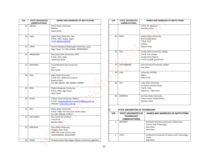| S/N | <b>STATE UNIVERSITIES</b><br>(ABBREVIATIONS) | NAMES AND ADDRESSES OF INSTITUTIONS                                                                           | S/N | <b>STATE UNIVERSITIES</b><br>(ABBREVIATIONS)                         | <b>NAMES AND ADDRESSES OF INSTITUTIONS</b>                                                                    |
|-----|----------------------------------------------|---------------------------------------------------------------------------------------------------------------|-----|----------------------------------------------------------------------|---------------------------------------------------------------------------------------------------------------|
| 23. | KWASU                                        | Kwara State University,<br>Malete,<br>Kwara State.                                                            |     |                                                                      | P.M.B. 02, Igbariam<br>Anambra State                                                                          |
| 24. | LASU                                         | Lagos State University, Ojo,<br>P.M.B. 1087, Apapa, Lagos.<br>Tel:01-884043,884048                            | 35. | SOSU                                                                 | Sokoto State University,<br>Birnin Kebbi Road,<br>P.M.B. 2143<br>Sokoto,                                      |
| 25. | LAPAI                                        | Ibrahim Badamasi Babangida University, Lapai,<br>Niger State. Tel: 066-220646, 08036650914                    |     |                                                                      | Sokoto State.                                                                                                 |
| 26. | NASARAWA                                     | Nasarawa State University, Keffi<br>P.M.B. 1022, Keffi,<br>Nasarawa State.                                    | 36. | <b>TSUJ</b>                                                          | Taraba State University, Jalingo<br>P.M.B. 116, Jalingo<br>Taraba State Nigeria.<br>E-mail: tsuja@ gamail.com |
| 27. | <b>MAITAMA</b>                               | Yusuf Maitama Sule University,<br>Kano,<br>Kano State                                                         | 37. | <b>TECH-IBADAN</b>                                                   | First Technical University, Ibadan<br>Oyo State.                                                              |
| 28. | <b>NDU</b>                                   | <b>Niger Delta University</b><br>P.M.B. 071, Wilberforce Island,                                              | 38. | <b>UDA</b>                                                           | University of Delta,<br>Agbor,<br>Delta State.                                                                |
|     |                                              | Bayelsa State<br>Tel: 089-490484, 089-490899, 490900                                                          | 39. | YSU                                                                  | Yobe State University,<br>Sir Kashim Ibrahim Road,                                                            |
| 29. | OOU                                          | Olabisi Onabanjo University,<br>P.M.B. 2002, Ago-Iwoye,<br>Ogun State.                                        |     |                                                                      | P.M.B. 1144,<br>Damaturu, Yobe State                                                                          |
| 30. | PLASU                                        | Plateau State University, Bokkos<br>E-mail: longpoec@yahoo.cominfo!@plasu.edu.ng<br>Website: www.plasu.edu.ng | 40. | ZAMFARA                                                              | Zamfara State University,<br>Sokoto Road, Talata Mafara,<br>Zamfara State.                                    |
| 31. | RSU                                          | Rivers State University,<br>P.M.B. 5080, Port-Harcourt, Rivers State.                                         |     | STATE UNIVERSITIES OF TECHNOLOGY                                     |                                                                                                               |
| 32. | UNI-AFRICA                                   | Tel: 084-338508, 335823.<br>The University of Africa,<br>Toru-Orua,                                           | S/N | <b>STATE UNIVERSITIES OF</b><br><b>TECHNOLOGY</b><br>(ABBREVIATIONS) | NAMES AND ADDRESSES OF INSTITUTIONS                                                                           |
|     |                                              | Bayelsa State.                                                                                                | 1.  | <b>BOUEDST</b>                                                       | Bamidele Olumilua University of Education,<br>Science and Technology,                                         |
| 33. | <b>UNIOSUN</b>                               | Osun State University,<br>Osogbo, Osun State<br>Web site: www.uniosun.org                                     |     |                                                                      | Ikere-Ekiti,<br>Ekiti State.                                                                                  |
| 34. | COOU                                         | Tel:035203095, 0305203097<br>Chukwuemeka Odumegwu Ojukwu University, Igbariam,                                | 2.  | <b>CUST</b>                                                          | Confluence University of Science and Technology,<br>Osara,<br>Kogi State.                                     |

| S/N |     | <b>STATE UNIVERSITIES</b><br>(ABBREVIATIONS) | <b>NAMES AND ADDRESSES OF INSTITUTIONS</b> |
|-----|-----|----------------------------------------------|--------------------------------------------|
|     |     |                                              | P.M.B. 02, Igbariam                        |
|     |     |                                              | Anambra State                              |
|     |     |                                              |                                            |
|     |     |                                              |                                            |
|     | 35. | SOSU                                         | Sokoto State University,                   |
|     |     |                                              | Birnin Kebbi Road,                         |
|     |     |                                              | P.M.B. 2143                                |
|     |     |                                              | Sokoto,                                    |
|     |     |                                              | Sokoto State.                              |
|     | 36. | <b>TSUJ</b>                                  | Taraba State University, Jalingo           |
|     |     |                                              | P.M.B. 116, Jalingo                        |
|     |     |                                              | Taraba State Nigeria.                      |
|     |     |                                              | E-mail: tsuja@ gamail.com                  |
|     |     |                                              |                                            |
|     | 37. | <b>TECH-IBADAN</b>                           | First Technical University, Ibadan         |
|     |     |                                              | Oyo State.                                 |
|     | 38. | <b>UDA</b>                                   | University of Delta,                       |
|     |     |                                              | Agbor,                                     |
|     |     |                                              | Delta State.                               |
|     |     |                                              |                                            |
|     | 39. | YSU                                          | Yobe State University,                     |
|     |     |                                              | Sir Kashim Ibrahim Road,                   |
|     |     |                                              | P.M.B. 1144,                               |
|     |     |                                              | Damaturu, Yobe State                       |
|     | 40. | ZAMFARA                                      | Zamfara State University,                  |
|     |     |                                              | Sokoto Road, Talata Mafara,                |
|     |     |                                              | Zamfara State.                             |
|     |     |                                              |                                            |

# **F. STATE UNIVERSITIES OF TECHNOLOGY**

| S/N | <b>STATE UNIVERSITIES OF</b><br><b>TECHNOLOGY</b><br>(ABBREVIATIONS) | <b>NAMES AND ADDRESSES OF INSTITUTIONS</b>                                                            |
|-----|----------------------------------------------------------------------|-------------------------------------------------------------------------------------------------------|
| 1.  | <b>BOUEDST</b>                                                       | Bamidele Olumilua University of Education,<br>Science and Technology,<br>Ikere-Ekiti,<br>Ekiti State. |
|     |                                                                      |                                                                                                       |
| 2.  | <b>CUST</b>                                                          | Confluence University of Science and Technology,<br>Osara,<br>Kogi State.                             |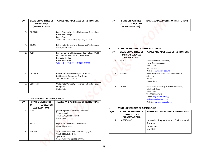| S/N | <b>STATE UNIVERSITIES OF</b><br><b>TECHNOLOGY</b><br>(ABBREVIATIONS)   | <b>NAMES AND ADDRESSES OF INSTITUTIONS</b>                                                                                       | S/N            | <b>STATE UNIVERSITIES</b><br><b>OF</b><br><b>EDUCATION</b><br>(ABBREVIATIONS)                              | <b>NAMES AND ADDRESSES OF INSTITUTIONS</b>                                                                 |
|-----|------------------------------------------------------------------------|----------------------------------------------------------------------------------------------------------------------------------|----------------|------------------------------------------------------------------------------------------------------------|------------------------------------------------------------------------------------------------------------|
| 3.  | <b>ESUTECH</b>                                                         | Enugu State University of Science and Technology,<br>P.M.B 1660, Enugu<br>Enugu State.<br>Te: 042-451319, 451253, 451244, 451264 |                |                                                                                                            |                                                                                                            |
| 4.  | <b>KSUSTA</b>                                                          | Kebbi State University of Science and Technology,<br>Aliero, Kebbi State.                                                        | Η.             | STATE UNIVERSITIES OF MEDICAL SCIENCES                                                                     |                                                                                                            |
| 5.  | <b>KUST</b>                                                            | Kano University of Science and Technology, Wudil<br>c/o Kano State Coll. of Art, Science and<br>Remedial Studies,                | S/N            | <b>STATE UNIVERSITIES OF</b><br><b>MEDICAL SCIENCES</b><br>(ABBREVIATIONS)                                 | <b>NAMES AND ADDRESSES OF INSTITUTIONS</b>                                                                 |
|     |                                                                        | P.M.B 3244, Kano.<br>Tel:064-241175,241149,648029,241175                                                                         | $\mathbf{1}$ . | <b>BMU</b>                                                                                                 | Bayelsa Medical University,<br>Imgbi Road, Yenagoa,<br>P.M.B. 178,<br>Bayelsa State,                       |
| 6.  | LAUTECH                                                                | Ladoke Akintola University of Technology,<br>P.M.B. 4000, Ogbomoso, Oyo State.<br>Tel: 038-710340, 710776.                       | 2.             | <b>DANUMS</b>                                                                                              | Website: www.bmu.edu.ng<br>David Nweze Umahi University of Medical<br>Sciences,<br>Uburu,<br>Ebonyi State. |
| 7.  | <b>OSUSTECH</b>                                                        | Ondo State University of Science and Technology,<br>Okitipupa,<br>Ondo State.                                                    | 3.             | OSUMS                                                                                                      | Ondo State University of Medical Sciences,<br>Laje Road, Ondo,<br>Ondo State.                              |
|     | STATE UNIVERSITIES OF EDUCATION                                        |                                                                                                                                  |                |                                                                                                            | Tel: 08023347828<br>E-mail: vc@osums.edu.ng,<br>feokonofua@yahoo.co.uk                                     |
| S/N | <b>STATE UNIVERSITIES</b><br><b>EDUCATION</b><br>OF<br>(ABBREVIATIONS) | <b>NAMES AND ADDRESSES OF INSTITUTIONS</b>                                                                                       |                |                                                                                                            | Website: www.osums.edu.ng                                                                                  |
| 1.  | <b>IAUED</b>                                                           | Ignatius Ajuru University of Education,<br>Rumuolumeni,<br>P.M.B. 5047, Port Harcourt,<br>Rivers State.<br>e e                   | S/N            | STATE UNIVERSITIES OF AGRICULTURE<br><b>STATE UNIVERSITIES OF</b><br><b>AGRICULTURE</b><br>(ABBREVIATIONS) | NAMES AND ADDRESSES OF INSTITUTIONS                                                                        |
| 2.  | <b>NUEM</b>                                                            | Niger State University of Education,<br>Minna, Niger State.                                                                      | 1.             | UAGRIC-IMO                                                                                                 | University of Agriculture and Environmental<br>Sciences,<br>Umuagwo,                                       |
| 3.  | <b>TASUED</b>                                                          | Tai Solarin University of Education, Ijagun,<br>P.M.B. 2118, Ijebu-Ode,<br>Ogun State.<br>Tel: 037-432770, 431547, 431994        |                |                                                                                                            | Imo State.                                                                                                 |

# **G. STATE UNIVERSITIES OF EDUCATION**

| S/N            | <b>STATE UNIVERSITIES</b><br><b>EDUCATION</b><br>ΟF<br>(ABBREVIATIONS) | <b>NAMES AND ADDRESSES OF INSTITUTIONS</b>                                                                                |
|----------------|------------------------------------------------------------------------|---------------------------------------------------------------------------------------------------------------------------|
| 1 <sub>1</sub> | <b>IAUED</b>                                                           | Ignatius Ajuru University of Education,<br>Rumuolumeni,<br>P.M.B. 5047, Port Harcourt,<br>Rivers State.                   |
| 2.             | <b>NUEM</b>                                                            | Niger State University of Education,<br>Minna, Niger State.                                                               |
| 3.             | TASUED                                                                 | Tai Solarin University of Education, Ijagun,<br>P.M.B. 2118, Ijebu-Ode,<br>Ogun State.<br>Tel: 037-432770, 431547, 431994 |

| S/N | <b>STATE UNIVERSITIES</b> | NAMES AND ADDRESSES OF INSTITUTIONS |
|-----|---------------------------|-------------------------------------|
|     | <b>EDUCATION</b><br>ΟF    |                                     |
|     | (ABBREVIATIONS)           |                                     |
|     |                           |                                     |

#### **H. STATE UNIVERSITIES OF MEDICAL SCIENCES**

| S/N | <b>STATE UNIVERSITIES OF</b><br><b>MEDICAL SCIENCES</b><br>(ABBREVIATIONS) | <b>NAMES AND ADDRESSES OF INSTITUTIONS</b> |
|-----|----------------------------------------------------------------------------|--------------------------------------------|
| 1.  | <b>BMU</b>                                                                 | Bayelsa Medical University,                |
|     |                                                                            | Imgbi Road, Yenagoa,                       |
|     |                                                                            | P.M.B. 178,                                |
|     |                                                                            | Bayelsa State,                             |
|     |                                                                            | Website: www.bmu.edu.ng                    |
| 2.  | <b>DANUMS</b>                                                              | David Nweze Umahi University of Medical    |
|     |                                                                            | Sciences,                                  |
|     |                                                                            | Uburu,                                     |
|     |                                                                            | Ebonyi State.                              |
|     |                                                                            |                                            |
| 3.  | <b>OSUMS</b>                                                               | Ondo State University of Medical Sciences, |
|     |                                                                            | Laje Road, Ondo,                           |
|     |                                                                            | Ondo State.                                |
|     |                                                                            | Tel: 08023347828                           |
|     |                                                                            | E-mail: vc@osums.edu.ng,                   |
|     |                                                                            | feokonofua@yahoo.co.uk                     |
|     |                                                                            | Website: www.osums.edu.ng                  |

## **I. STATE UNIVERSITIES OF AGRICULTURE**

| S/N | <b>STATE UNIVERSITIES OF</b><br><b>AGRICULTURE</b><br>(ABBREVIATIONS) | NAMES AND ADDRESSES OF INSTITUTIONS                                                |
|-----|-----------------------------------------------------------------------|------------------------------------------------------------------------------------|
| 1.  | UAGRIC-IMO                                                            | University of Agriculture and Environmental<br>Sciences,<br>Umuagwo,<br>Imo State. |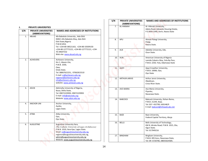| J.             | <b>PRIVATE UNIVERSITIES</b>                    |                                                                                                                                                                                                                                                                                        |
|----------------|------------------------------------------------|----------------------------------------------------------------------------------------------------------------------------------------------------------------------------------------------------------------------------------------------------------------------------------------|
| S/N            | <b>PRIVATE UNIVERSITIES</b><br>(ABBREVIATIONS) | <b>NAMES AND ADDRESSES OF INSTITUTIONS</b>                                                                                                                                                                                                                                             |
| $\mathbf{1}$ . | <b>ABUAD</b>                                   | Afe Babalola University, Ado-Ekiti<br>KM8.5 Afe Babalola Way, Ado-Ekiti<br>Ekiti State, Nigeria<br>P.M.B.5454,<br>Tel: +234-80-38521163, +234-80-33509150<br>+234-80-127772121, +234-80-127772121, +234-<br>70-39647532<br>Web site: www.abuad.edu,ng                                  |
| 2.             | <b>ACHIEVERS</b>                               | Achievers University,<br>Km 1, Idasen-Ute,<br>P.M.B. 1030,<br>Owo,<br>Ondo State.<br>Tel: 08067622251, 07062815510<br>E-mail: vc@achievers.edu.ng,<br>registrar@achievers.edu.ng<br>info@achievers.edu.ng<br>website: www.achievers.edu.ng                                             |
| 3.             | <b>ADUN</b>                                    | Admiralty University of Nigeria,<br>Ibusa, Delta State,<br>Tel: 09072229992, 09072229993<br>E-mail: info@adunedu.org<br>Website: www.adun.edu.ng                                                                                                                                       |
| 4.             | ANCHOR-UNI                                     | Anchor University,<br>Ayobo,<br>Lagos State.                                                                                                                                                                                                                                           |
| 5.             | <b>ATIBA</b>                                   | Atiba University,<br>Oyo,<br>Oyo State.                                                                                                                                                                                                                                                |
| 6.             | <b>AUGUSTINE</b>                               | Augustine University Ilara,<br>(The Catholic University of Lagos Archdiocese)<br>P.M.B. 1010, Ilara-Epe, Lagos State.<br>Email: vc@augustineuniversity.edu.ng,<br>registrar@augustineuniversity.edu.ng,<br>admin@augustineuniversity.edu.ng<br>Website: www.augustineuniversity.edu.ng |

|                                                |                                                                                                                                                                | S/N | <b>PRIVATE UNIVERSITIES</b>  | <b>NAMES AND ADDRESSES OF INSTITUTIONS</b>                                                                                 |
|------------------------------------------------|----------------------------------------------------------------------------------------------------------------------------------------------------------------|-----|------------------------------|----------------------------------------------------------------------------------------------------------------------------|
| <b>PRIVATE UNIVERSITIES</b>                    |                                                                                                                                                                | 7.  | (ABBREVIATIONS)<br>AL-HIKMAH | Al- Hikmah University,                                                                                                     |
| <b>PRIVATE UNIVERSITIES</b><br>(ABBREVIATIONS) | <b>NAMES AND ADDRESSES OF INSTITUTIONS</b>                                                                                                                     |     |                              | Adeta Road, Adewole Housing Estate,<br>P.O.BOX 3340, Ilorin, Kwara State                                                   |
| ABUAD                                          | Afe Babalola University, Ado-Ekiti<br>KM8.5 Afe Babalola Way, Ado-Ekiti<br>Ekiti State, Nigeria<br>P.M.B.5454,<br>Tel: +234-80-38521163, +234-80-33509150      | 8.  | APU                          | Ahman Pategi University,<br>Patigi,<br>Kwara State.                                                                        |
|                                                | +234-80-127772121, +234-80-127772121, +234-<br>70-39647532<br>Web site: www.abuad.edu,ng                                                                       | 9.  | <b>AUE</b>                   | Adeleke University, Ede,<br>Osun State.                                                                                    |
| <b>ACHIEVERS</b>                               | Achievers University,<br>Km 1, Idasen-Ute,<br>P.M.B. 1030,                                                                                                     | 10. | <b>AUN</b>                   | American University of Nigeria<br>Lamido Zubairu Way , Yola By-Pass,<br>P.M.B. 2250, Yola, Adamawa State                   |
|                                                | Owo,<br>Ondo State.<br>Tel: 08067622251, 07062815510<br>E-mail: vc@achievers.edu.ng,                                                                           | 11. | <b>AJAYI</b>                 | Ajayi Crowther University,<br>P.M.B. 10066, Oyo,<br>Oyo State                                                              |
|                                                | registrar@achievers.edu.ng<br>info@achievers.edu.ng<br>website: www.achievers.edu.ng                                                                           | 12. | ARTHUR-JARVIS                | Arthur Jarvis University,<br>Akpabuyo,<br>Cross River State.                                                               |
| ADUN                                           | Admiralty University of Nigeria,<br>Ibusa, Delta State,<br>Tel: 09072229992, 09072229993<br>E-mail: info@adunedu.org                                           | 13. | AVE-MARIA                    | Ave-Maria University,<br>Piyanko,<br>Nasarawa State.                                                                       |
| ANCHOR-UNI                                     | Website: www.adun.edu.ng<br>Anchor University,<br>Ayobo,<br>Lagos State.                                                                                       | 14. | <b>BABCOCK</b>               | Babcock University, Ilishan-Remo,<br>P.M.B. 21244, Ikeja.<br>Tel: 037- 432799, 630148/9<br>E-mail: babcock@infoweb.abs.net |
| ATIBA                                          | Atiba University,<br>Oyo,<br>Oyo State.                                                                                                                        | 15. | BAZE                         | Baze University,<br>Federal Capital Territory, Abuja                                                                       |
| AUGUSTINE                                      | Augustine University Ilara,<br>(The Catholic University of Lagos Archdiocese)<br>P.M.B. 1010, Ilara-Epe, Lagos State.<br>Email: vc@augustineuniversity.edu.ng, | 16. | <b>BELLS</b>                 | Bells University of Technology,<br>KM 8, Idiroko Road, P.M.B. 1015, Ota,<br>Ogun State.<br>Tel: 017949216                  |
|                                                | registrar@augustineuniversity.edu.ng,<br>admin@augustineuniversity.edu.ng<br>Website: www.augustineuniversity.edu.ng                                           | 17. | <b>BINGHAM</b>               | Bingham University,<br>P.M.B. 005 Karu, Nasarawa State,<br>Tel: 09- 6720785, 08055024585.                                  |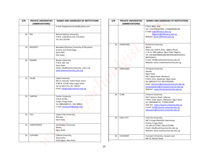| S/N | <b>PRIVATE UNIVERSITIES</b><br>(ABBREVIATIONS) | <b>NAMES AND ADDRESSES OF INSTITUTIONS</b>                                                                                                                       |
|-----|------------------------------------------------|------------------------------------------------------------------------------------------------------------------------------------------------------------------|
|     |                                                | E-mail: binghamuniversity@ yahoo.com                                                                                                                             |
| 18. | <b>BIU</b>                                     | Benson Idahosa University,<br>P.M.B. 1100 Benin City, Edo State.<br>Tel: 052-253764                                                                              |
| 19. | <b>BOUEDST</b>                                 | Bamidele Olumilua University of Education,<br>Science and Technology,<br>Ikere-Ekiti,<br>Ekiti State.                                                            |
| 20. | <b>BOWEN</b>                                   | Bowen University,<br>P.M.B. 284 Iwo<br>Osun State<br>Email: info@bowenuniversity_educ.org<br>www.bowenuniversity edu.org                                         |
| 21. | <b>CALEB</b>                                   | Caleb University<br>KM 15, Ikorodu- Itokin Road, Imota<br>P.MP.B. 21238, Ikeja, Lagos State.<br>Tel: 01-8517711, 01-764712<br>Email: info@calebuniversity.edu.ng |
| 22. | <b>CARITAS</b>                                 | Caritas University,<br>P.M.B. 01784,<br>Enugu, Enugu State.<br>Tel: 08063589115, 042-308921<br>E-mail: caritasuniv@yahoo.com                                     |
| 23. | CCU                                            | Capital City University,<br>Warawa.<br>Kano State.                                                                                                               |
| 24. | <b>CHRISTOPHER</b>                             | Christopher University,<br>Mowe,<br>Ogun State.                                                                                                                  |
| 25. | <b>CLIFFORD</b>                                | Clifford University,<br>Owerrintta,<br>Isiala Ngwa, Abia State.                                                                                                  |

| S/N | PRIVATE UNIVERSITIES | <b>NAMES AND ADDRESSES OF INSTITUTIONS</b>                                                                                                                       | S/N |     | <b>PRIVATE UNIVERSITIES</b> | <b>NAMES AND ADDRESSES OF INSTITUTIONS</b>                                                                                                                                                                                                                       |
|-----|----------------------|------------------------------------------------------------------------------------------------------------------------------------------------------------------|-----|-----|-----------------------------|------------------------------------------------------------------------------------------------------------------------------------------------------------------------------------------------------------------------------------------------------------------|
|     | (ABBREVIATIONS)      | E-mail: binghamuniversity@ yahoo.com                                                                                                                             |     |     | (ABBREVIATIONS)             | P.M.B. 8001, Aba                                                                                                                                                                                                                                                 |
| 18. | <b>BIU</b>           | Benson Idahosa University,<br>P.M.B. 1100 Benin City, Edo State.<br>Tel: 052-253764                                                                              |     |     |                             | Tel: +2347034263550, +2348039385198<br>E-mail: vc@clifforduni.edu.ng<br>Registrar@clifforduni.edu.ng<br>Website: www.clifforduni.edu.ng                                                                                                                          |
| 19. | <b>BOUEDST</b>       | Bamidele Olumilua University of Education,<br>Science and Technology,<br>Ikere-Ekiti,<br>Ekiti State.                                                            |     | 26. | CRAWFORD                    | Crawford University,<br>Igbesa,<br>Faith City, KLM 8, Atan - Agbara Road,<br>P. M. B. 2001, Igbesa, Ogun State, Nigeria.<br>Tel: 234-806296600,8023003436,8035456352,<br>8055434412.                                                                             |
| 20. | <b>BOWEN</b>         | Bowen University,<br>P.M.B. 284 Iwo<br>Osun State<br>Email: info@bowenuniversity_educ.org                                                                        |     |     |                             | E-mail: info@crawforduniversity.edu.ng<br>Website: www.crawforduniversity.edu.ng                                                                                                                                                                                 |
|     |                      | www.bowenuniversity edu.org                                                                                                                                      |     | 27. | <b>CHRISLAND</b>            | Chrisland University,<br>Owode,<br>Ogun State.                                                                                                                                                                                                                   |
| 21. | CALEB                | Caleb University<br>KM 15, Ikorodu- Itokin Road, Imota<br>P.MP.B. 21238, Ikeja, Lagos State.<br>Tel: 01-8517711, 01-764712<br>Email: info@calebuniversity.edu.ng |     |     |                             | KM 5 Ajebo Road, Abeokuta,<br>P.M.B. 2131, Abeokuta, Ogun State.<br>Tel: 08023671737, 08132663928<br>Email: admission@chrislanduniversity.edu.ng,<br>chrislandadmin@chrislanduniversity.edu.ng<br>Website: www.chrislanduniversity.edu.ng                        |
| 22. | CARITAS              | Caritas University,<br>P.M.B. 01784,<br>Enugu, Enugu State.<br>Tel: 08063589115, 042-308921<br>E-mail: caritasuniv@yahoo.com                                     |     | 28. | <b>CUAB</b>                 | Crescent University,<br>KM 5 Ayetoro Road, Lafenwa<br>P.M.B. 2104, Sapon, Abeokuta, Ogun State.<br>Tel. 08030644731, 07098133287<br>web site: www.crescent-university.edu.ng<br>E-mail: info@crescent-university.edu.ng<br>admissions@crescent-university.edu.ng |
| 23. | CCU                  | Capital City University,<br>Warawa,<br>Kano State.                                                                                                               |     | 29. | COAL-CITY                   | Coal City University,<br>KM 3 Enugu/Abakaliki Expressway,                                                                                                                                                                                                        |
| 24. | <b>CHRISTOPHER</b>   | Christopher University,<br>Mowe,<br>Ogun State.                                                                                                                  |     |     |                             | Emene, Enugu State.<br>Tel: 08115757997, 08115757998<br>Email: info@coalcityuniversity.edu.ng<br>Website: www.coalcityuniversity.edu.ng                                                                                                                          |
| 25. | <b>CLIFFORD</b>      | Clifford University,<br>Owerrintta,<br>Isiala Ngwa, Abia State.                                                                                                  |     | 30. | COVENANT                    | Covenant University, Canaan Land<br>KM 10, Idiroko Road,                                                                                                                                                                                                         |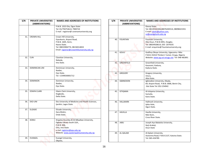| S/N | <b>PRIVATE UNIVERSITIES</b> | <b>NAMES AND ADDRESSES OF INSTITUTIONS</b>      |
|-----|-----------------------------|-------------------------------------------------|
|     | (ABBREVIATIONS)             |                                                 |
|     |                             | P.M.B. 1023 Ota, Ogun State                     |
|     |                             | Tel: 01/7947546-8, 7900724                      |
|     |                             | E-mail: registrar@ covenantuniversity.org       |
| 31. | <b>CROWN-HILL</b>           | Crown Hill University,                          |
|     |                             | Eiyenkorin, Airport Road,                       |
|     |                             | P.M.B. 1605, Ilorin,                            |
|     |                             | Kwara State.                                    |
|     |                             | Tel: 08033906774, 08158314833                   |
|     |                             | Email: registrar@crownhilluniversity.edu.ng     |
| 32. | <b>CUN</b>                  | Claretian University,                           |
|     |                             | Nekede,                                         |
|     |                             | Imo State.                                      |
| 33. | DOMINICAN-UNI               | Dominican University,                           |
|     |                             | Ibadan,                                         |
|     |                             | Oyo State.                                      |
|     |                             | Tel: +2349030001712                             |
| 34. | <b>DOMINION</b>             | Dominion University,                            |
|     |                             | Ibadan,                                         |
|     |                             | Oyo State.                                      |
| 35. | <b>EDWIN CLARK</b>          | Edwin Clark University,                         |
|     |                             | Kiagbodo,                                       |
|     |                             | Delta State.                                    |
| 36. | EKO-UNI                     | Eko University of Medicine and Health Sciences, |
|     |                             | Ijanikin, Lagos State.                          |
| 37. | <b>ELIZADE</b>              | Elizade University,                             |
|     |                             | Ilara-Mokin,                                    |
|     |                             | Ondo State.                                     |
| 38. | <b>KOMU</b>                 | Kingsley Ozumba (K.O) Mbadiwe University,       |
|     |                             | Ogboko Ideato South LGA.,                       |
|     |                             | P.M.B. 006,                                     |
|     |                             | Orlu, Imo State                                 |
|     |                             | e-mal: registrar@epu.edu.ng                     |
|     |                             | Website: www.easternpalmuniversity.edu.ng       |
| 39. | <b>EVANGEL</b>              | Evangel University,                             |
|     |                             | Okpoto,                                         |

| S/N | PRIVATE UNIVERSITIES | <b>NAMES AND ADDRESSES OF INSTITUTIONS</b>                                                                                                                                  |     | <b>PRIVATE UNIVERSITIES</b> | <b>NAMES AND ADDRESSES OF INSTITUTIONS</b>                                                                                               |
|-----|----------------------|-----------------------------------------------------------------------------------------------------------------------------------------------------------------------------|-----|-----------------------------|------------------------------------------------------------------------------------------------------------------------------------------|
|     | (ABBREVIATIONS)      |                                                                                                                                                                             | S/N | (ABBREVIATIONS)             |                                                                                                                                          |
|     |                      | P.M.B. 1023 Ota, Ogun State<br>Tel: 01/7947546-8, 7900724<br>E-mail: registrar@ covenantuniversity.org                                                                      |     |                             | Ebonyi State.<br>Tel: 08139343306,08076283514, 08098421931<br>E-mail: jukalu@yahoo.com,<br>vc@evangeluniv.edu.ng                         |
| 31. | <b>CROWN-HILL</b>    | Crown Hill University,<br>Eiyenkorin, Airport Road,<br>P.M.B. 1605, Ilorin,<br>Kwara State.<br>Tel: 08033906774, 08158314833<br>Email: registrar@crownhilluniversity.edu.ng |     | <b>FOUNTAIN</b><br>40.      | Fountain University,<br>Oke-Osun, P.M.B 4491, Osogbo.<br>Tel: 08034928614, 035-2074335<br>E-mail: enquiries@ fountainuniversity.org      |
| 32. | <b>CUN</b>           | Claretian University,                                                                                                                                                       |     | 41.<br>GOUU                 | Godfrey Okoye University, Ugwuomu- Nike<br>P.M.B. 01014 Thinkers' Comer, Enugu, Nigeria<br>Website: www.og-uni-enugu.net Tel: 048-482891 |
|     |                      | Nekede,<br>Imo State.                                                                                                                                                       |     | GREENFIELD<br>42.           | Greenfield University,<br>Kasarami, Kaduna,                                                                                              |
| 33. | DOMINICAN-UNI        | Dominican University,<br>Ibadan,<br>Oyo State.                                                                                                                              |     | 43.<br>GREGORY              | Kaduna State.<br>Gregory University,                                                                                                     |
|     |                      | Tel: +2349030001712                                                                                                                                                         |     |                             | Uturu,<br>Abia State.                                                                                                                    |
| 34. | <b>DOMINION</b>      | Dominion University,<br>Ibadan,<br>Oyo State.                                                                                                                               |     | <b>IGBINEDION</b><br>44.    | Igbinedion University, Okada,<br>69, Airport Road, P.M.B. 0006, Benin City,<br>Edo State Tel: 052-254942                                 |
| 35. | <b>EDWIN CLARK</b>   | Edwin Clark University,<br>Kiagbodo,<br>Delta State.                                                                                                                        |     | 45.<br><b>ISTIQAMA</b>      | Al-Istigama University,<br>Sumaila,<br>Kano State.                                                                                       |
| 36. | EKO-UNI              | Eko University of Medicine and Health Sciences,<br>Ijanikin, Lagos State.                                                                                                   |     | HALLMARK<br>46.             | Hallmark University,<br>Ijebu-Itele,<br>Ogun State.                                                                                      |
| 37. | <b>ELIZADE</b>       | Elizade University,<br>Ilara-Mokin,<br>Ondo State.                                                                                                                          |     | 47.<br><b>HAVILLA</b>       | Havilla University,<br>Nde-Ikom,                                                                                                         |
| 38. | KOMU                 | Kingsley Ozumba (K.O) Mbadiwe University,                                                                                                                                   |     |                             | Cross River State.                                                                                                                       |
|     |                      | Ogboko Ideato South LGA.,<br>P.M.B. 006,<br>Orlu, Imo State<br>e-mal: registrar@epu.edu.ng                                                                                  |     | 48.<br><b>JABU</b>          | Joseph Ayo Babalola University,<br>Ikeji-Arakeji,<br>Osun State                                                                          |
|     |                      | Website: www.easternpalmuniversity.edu.ng                                                                                                                                   |     | AL-QALAM<br>49.             | Al-Qalam University,                                                                                                                     |
| 39. | EVANGEL              | Evangel University,<br>Okpoto,                                                                                                                                              |     |                             | Dutsinma Road, P.M.B 2137, Katsina State.<br>Tel: 065-434785                                                                             |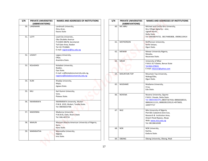| S/N | <b>PRIVATE UNIVERSITIES</b> | <b>NAMES AND ADDRESSES OF INSTITUTIONS</b>    |
|-----|-----------------------------|-----------------------------------------------|
| 50. | (ABBREVIATIONS)<br>LANDMARK | Landmark University,                          |
|     |                             | Omu-Aran,                                     |
|     |                             | Kwara State                                   |
|     |                             |                                               |
| 51. | <b>LCITY</b>                | Lead City University,                         |
|     |                             | Oba Otudeko Avenue                            |
|     |                             | P.O.BOX 30678, Secretariat                    |
|     |                             | Toll Gate Area, Ibadan                        |
|     |                             | Tel: 02-7510681                               |
|     |                             | E-mail: registrar@llcu.edu.ng                 |
| 52. | LEGACY                      | Legacy University,                            |
|     |                             | Okija,                                        |
|     |                             | Anambra State.                                |
| 53. | <b>KOLADAISI</b>            | Koladaisi University,                         |
|     |                             | Ibadan,                                       |
|     |                             | Oyo State.                                    |
|     |                             | E-mail: vc@koladaisiuniversity.edu.ng,        |
|     |                             | registrar@koladaisiuniversity.edu.ng          |
|     |                             |                                               |
| 54. | <b>KUM</b>                  | Khadija University,                           |
|     |                             | Majia,                                        |
|     |                             | Jigawa State.                                 |
| 55. | <b>KKU</b>                  | Karl Kumm University,                         |
|     |                             | Vom,                                          |
|     |                             | Plateau State.                                |
| 56. | <b>KWARARAFA</b>            | KWARARAFA University, Wukari                  |
|     |                             | P.M.B. 1019, Wukari, Taraba State.            |
|     |                             | Tel: 08036023768.                             |
|     |                             |                                               |
| 57. | <b>MADONNA</b>              | Madonna University                            |
|     |                             | P.M.B 05, Elele, Rivers State                 |
|     |                             | Tel: 046-463724                               |
| 58. | <b>MAAUN</b>                | Maryam Abacha American University of Nigeria, |
|     |                             | Kano,                                         |
|     |                             | Kano State.                                   |
| 59. | <b>MARANATHA</b>            | Maranatha University,                         |
|     |                             | Mgbidi,                                       |
|     |                             | Imo State.                                    |
|     |                             |                                               |

| S/N        | <b>PRIVATE UNIVERSITIES</b> | <b>NAMES AND ADDRESSES OF INSTITUTIONS</b>                                                    | S/N | <b>PRIVATE UNIVERSITIES</b> | <b>NAMES AND ADDRESSES OF INSTITUTIONS</b>                                                                                                          |
|------------|-----------------------------|-----------------------------------------------------------------------------------------------|-----|-----------------------------|-----------------------------------------------------------------------------------------------------------------------------------------------------|
|            | (ABBREVIATIONS)             |                                                                                               |     | (ABBREVIATIONS)             |                                                                                                                                                     |
| 50.<br>51. | LANDMARK<br><b>LCITY</b>    | Landmark University,<br>Omu-Aran,<br>Kwara State<br>Lead City University,                     | 60. | MC-IBRU                     | Michael and Cecilia Ibru University,<br>Ibru Village Agbarha - otor,<br>Ughelli North,<br>Delta State<br>Tel: 09030874725, 08174485808, 09096119414 |
|            |                             | Oba Otudeko Avenue<br>P.O.BOX 30678, Secretariat<br>Toll Gate Area, Ibadan<br>Tel: 02-7510681 | 61  | <b>MCPHERSON</b>            | McPherson University,<br>Seriki Sotayo,<br>Ogun State.                                                                                              |
| 52.        | LEGACY                      | E-mail: registrar@llcu.edu.ng<br>Legacy University,                                           | 62. | <b>MEWAR</b>                | Mewar University Nigeria,<br>Masaka,                                                                                                                |
|            |                             | Okija,                                                                                        |     |                             | Nasarawa State.                                                                                                                                     |
| 53.        | KOLADAISI                   | Anambra State.<br>Koladaisi University,                                                       | 63. | <b>MKAR</b>                 | University of Mkar<br>P.M.B. 017 Gboko, Benue State<br>Tel:044-470631                                                                               |
|            |                             | Ibadan,<br>Ovo State.<br>E-mail: vc@koladaisiuniversity.edu.ng,                               | 64. | <b>MOUNTAIN TOP</b>         | E-mail: mkaruni@yahoo.com<br>Mountain Top University,                                                                                               |
|            |                             | registrar@koladaisiuniversity.edu.ng                                                          |     |                             | Makogi/Oba,<br>Ogun State.                                                                                                                          |
| 54.        | <b>KUM</b>                  | Khadija University,<br>Majia,<br>Jigawa State.                                                | 65. | MUDIAME                     | Mudiame University,<br>ırrua,                                                                                                                       |
| 55.        | KKU                         | Karl Kumm University,                                                                         |     |                             | Edo State.                                                                                                                                          |
|            |                             | Vom,<br>Plateau State.                                                                        | 66. | <b>NOVENA</b>               | Novena University, Ogume<br>P.M.B. 2 Kwale, Delta State<br>Tel: 08033302376,08037167418,08066568533,                                                |
| 56.        | KWARARAFA                   | KWARARAFA University, Wukari<br>P.M.B. 1019, Wukari, Taraba State.<br>Tel: 08036023768.       |     |                             | 080624111131, 08082852293,01-4973603,<br>104977717                                                                                                  |
| 57.        | MADONNA                     | Madonna University<br>P.M.B 05, Elele, Rivers State<br>Tel: 046-463724                        | 67. | <b>NILE</b>                 | Nile University of Nigeria<br>Plot 681 Cadastral Zone Coo,<br>Research & Institution Area,<br>Airport Road Bypass, Abuja                            |
| 58.        | <b>MAAUN</b>                | Maryam Abacha American University of Nigeria,<br>Kano,                                        |     |                             | Web: www.ntnu.edu.ng<br>Tel: 08138616589                                                                                                            |
| 59.        | MARANATHA                   | Kano State.<br>Maranatha University,                                                          | 68. | <b>NOK</b>                  | NOK University,<br>Kachia,                                                                                                                          |
|            |                             | Mgbidi,<br>Imo State.                                                                         |     |                             | Kaduna State.                                                                                                                                       |
|            |                             |                                                                                               | 69. | <b>OBONG</b>                | Obong University, Obong, Ntak                                                                                                                       |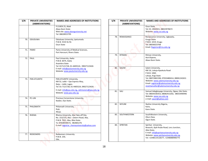| S/N             | <b>PRIVATE UNIVERSITIES</b> | <b>NAMES AND ADDRESSES OF INSTITUTIONS</b>                                                                                                                                                                    |
|-----------------|-----------------------------|---------------------------------------------------------------------------------------------------------------------------------------------------------------------------------------------------------------|
|                 | (ABBREVIATIONS)             | P.O.BOX 25, Abak<br>Akwa Ibom State                                                                                                                                                                           |
|                 |                             | Web site: www.obonguniversity.net<br>Tel: 08028915795                                                                                                                                                         |
| 70 <sub>1</sub> | <b>ODUDUWA</b>              | Oduduwa University, Ipetumodu<br>P.M.B. 5533 Ile Ife<br>Osun State                                                                                                                                            |
| 71.             | PAMO                        | Pamo University of Medical Sciences,<br>Port Harcourt, Rivers State.                                                                                                                                          |
| 72.             | PAUL                        | Paul University, Awka<br>P.M.B. 6074, Awka<br>Anambra State<br>Tel: 017121728, 01-4405524, 09027123426<br>E-mail: info@pauluniversity.edu.ng<br>Website: www.pauluniversity.edu.ng                            |
| 73.             | PAN-ATLANTIC                | PAN-ATLANTIC University,<br>KM 52, Lekki – Epe Express Way,<br>Ibeju – Lekki, Lagos.<br>Tel: 01-7121728, 01-4405524, 09027123426<br>E-mail: info@pau.edu.ng, admissions@pau.edu.ng<br>Website: www.pau.edu.ng |
| 74.             | PC-UNI                      | Precious Cornerstone University,<br>Ibadan, Oyo State.                                                                                                                                                        |
| 75.             | PHILOMATH                   | Philomath University,<br>Kuje,<br>Abuja.                                                                                                                                                                      |
| 76.             | <b>RHEMA</b>                | Rhema University, Aba Take-off Site,<br>No. 153/155, Aba - Owerri Road, Aba,<br>P.M.B. 7021, Aba, Abia State.<br>Te: 07028544572, 082865276<br>E-mail: registrar_rhemauniversity@yahoo.com                    |
| 77.             | <b>REDEEMERS</b>            | <b>Redeemers University</b><br>P.M.B. 230,<br>Ede,                                                                                                                                                            |

| S/N | <b>PRIVATE UNIVERSITIES</b><br>(ABBREVIATIONS) | <b>NAMES AND ADDRESSES OF INSTITUTIONS</b>                                                                                                  | S/N | <b>PRIVATE UNIVERSITIES</b><br>(ABBREVIATIONS) | <b>NAMES AND ADDRESSES OF INSTITUTIONS</b>                                                                                                                            |
|-----|------------------------------------------------|---------------------------------------------------------------------------------------------------------------------------------------------|-----|------------------------------------------------|-----------------------------------------------------------------------------------------------------------------------------------------------------------------------|
|     |                                                | P.O.BOX 25, Abak<br>Akwa Ibom State<br>Web site: www.obonguniversity.net<br>Tel: 08028915795                                                |     |                                                | Osun State.<br>Tel: 01-8502921, 08023978672<br>Website: www.run.edu.ng                                                                                                |
| 70. | ODUDUWA                                        | Oduduwa University, Ipetumodu<br>P.M.B. 5533 Ile Ife<br>Osun State                                                                          | 78. | RENAISSANCE                                    | Renaissance University, Ugbawka,<br><b>Enugu State</b><br>P.M.B. 1019, Enugu<br>Tel: 08036023768<br>Email: Registrar@rnu.edu.ng                                       |
| 71. | PAMO                                           | Pamo University of Medical Sciences,<br>Port Harcourt, Rivers State.                                                                        | 79. | <b>RITMAN</b>                                  | Ritman University,                                                                                                                                                    |
| 72. | PAUL                                           | Paul University, Awka<br>P.M.B. 6074, Awka<br>Anambra State<br>Tel: 017121728, 01-4405524, 09027123426                                      |     |                                                | Ikot-Ekpene,<br>Akwa Ibom State.                                                                                                                                      |
|     |                                                | E-mail: info@pauluniversity.edu.ng<br>Website: www.pauluniversity.edu.ng                                                                    | 80. | <b>SALEM</b>                                   | Salem University,<br>KM 16, Lokoja-Ajaokuta Road<br>P.M.B. 1060.<br>Lokoja, Kogi State                                                                                |
| 73. | PAN-ATLANTIC                                   | PAN-ATLANTIC University,<br>KM 52, Lekki - Epe Express Way,<br>Ibeju - Lekki, Lagos.<br>Tel: 01-7121728, 01-4405524, 09027123426            |     |                                                | Tel: 08072881598, 07033480414, 08081242631<br>Website: www.salemuniversity.edu.ng<br>Email: registrar@salemuniversity.edu.ng<br>vicechancellor@salemuniversity.edu.ng |
|     |                                                | E-mail: info@pau.edu.ng, admissions@pau.edu.ng<br>Website: www.pau.edu.ng                                                                   | 81. | SAU                                            | Samuel Adegboyega University, Ogwa, Edo State.<br>Tel: 08034330353, 08082913202, 08033490946<br>Website: www.sau.edu.ng                                               |
| 74. | PC-UNI                                         | Precious Cornerstone University,<br>Ibadan, Oyo State.                                                                                      |     |                                                | e-mail: sauict@yahoo.com                                                                                                                                              |
| 75. | PHILOMATH                                      | Philomath University,<br>Kuje,<br>Abuja.                                                                                                    | 82. | SKYLINE                                        | Skyline University Nigeria,<br>Kano,<br>Kano State.                                                                                                                   |
| 76. | <b>RHEMA</b>                                   | Rhema University, Aba Take-off Site,<br>No. 153/155, Aba - Owerri Road, Aba,<br>P.M.B. 7021, Aba, Abia State.<br>Te: 07028544572, 082865276 | 83. | SOUTHWESTERN                                   | SouthWestern University,<br>Okun-Owa,<br>Ogun State.                                                                                                                  |
|     |                                                | E-mail: registrar rhemauniversity@yahoo.com                                                                                                 | 84. | SPIRITAN                                       | Spiritan University,<br>Nneochi, Ajali-Ihube Road, Leru Junction,<br>Abia State,<br>E-mail: info@spiritanuniversity.edu.ng                                            |
| 77. | REDEEMERS                                      | <b>Redeemers University</b><br>P.M.B. 230,<br>Ede,                                                                                          |     |                                                | Website: www.spiritanuniversity.edu.ng,<br>Tel: +2348114118277, +2348080906775                                                                                        |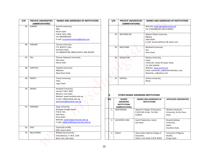| S/N | <b>PRIVATE UNIVERSITIES</b><br>(ABBREVIATIONS) | <b>NAMES AND ADDRESSES OF INSTITUTIONS</b>                                                              |     | S/N | <b>PRIVATE UNIVERSITIES</b><br>(ABBREVIATIONS)                             |            |                                                                                      | <b>NAMES AND ADDRESSES OF INSTITUTIONS</b>             |
|-----|------------------------------------------------|---------------------------------------------------------------------------------------------------------|-----|-----|----------------------------------------------------------------------------|------------|--------------------------------------------------------------------------------------|--------------------------------------------------------|
| 85. | <b>SUMMIT</b>                                  | Summit University,                                                                                      |     |     |                                                                            |            | Web site: www.springuniversity.net                                                   |                                                        |
|     |                                                | Offa,<br>Kwara State.<br>P.M.B. 4412, Offa,<br>Tel: 08030981930<br>E-mail: vcsummituniversity@gmail.com |     |     | 94.<br>WESTERN-DEL                                                         |            | Tel: 07042683282, 08191189031<br>Western Delta University,<br>Oghara,<br>Delta State |                                                        |
| 86. | <b>TANSIAN</b>                                 | Tansian University,                                                                                     |     |     |                                                                            |            | E-mail: westerndeltauni @ yahoo.com                                                  |                                                        |
|     |                                                | P.O. BOX375, Oba,<br>Anambra State<br>Tel: 0806974789, 08052222875, 046-302390                          |     |     | 95.<br>WESTLAND                                                            |            | Westland University,<br>Iwo,<br>Osun State.                                          |                                                        |
| 87. | TAU                                            | Thomas Adewumi University,<br>Oko-Irese,<br>Kwara State                                                 |     |     | WESLEYUNI<br>96.                                                           |            | Wesley University,<br>Ondo<br>P.M.B 507, Ondo-Ife Road, Ondo<br>Tel: 034-204395      |                                                        |
| 88. | <b>TOPFAITH</b>                                | Topfaith University,<br>Mkpatak,<br>Akwa Ibom State.                                                    |     |     |                                                                            |            | Website: www.wusto.com<br>Wutondo_vc@yahoo.com                                       | Email: wustondo_vc@mai2methodistcom,                   |
| 89. | <b>TRINITY</b>                                 | Trinity University,<br>Yaba,<br>Lagos State.                                                            |     |     | 97.<br><b>VERITAS</b>                                                      |            | Veritas University,<br>Abuja                                                         |                                                        |
| 90. | <b>UNIHEZ</b>                                  | Hezekiah University,<br>Umudi, P.M.B. 3002<br>Nkwerre, Imo State.<br>Website: www.hezekiah.edu.ng       | К.  |     |                                                                            |            | OTHER DEGREE AWARDING INSTITUTIONS                                                   |                                                        |
| 91. | <b>UNIKINGS</b>                                | E-mail: vc@hezekiah.edu.ng;<br>admissions@hezekiah.edu.ng<br>Kings University,                          | S/N |     | <b>DEGREE</b><br><b>AWARDING</b><br><b>INSTITUTIONS</b><br>(ABBREVIATIONS) |            | <b>NAMES AND ADDRESSES OF</b><br><b>INSTITUTIONS</b>                                 | <b>AFFILIATED UNIVERSITIES</b>                         |
|     |                                                | Gbongan-Osogbo Road,<br>P.M.B. 555,<br>Ode-Omu,<br>Osun State                                           |     | 1.  | ADEYEMIDEG                                                                 | 610050     | Adeyemi College of Education,<br>P.M.B 520, Ondo. Tel: 034-                          | Obafemi Awolowo<br>University, Ile-Ife, Osun<br>State  |
|     |                                                | Website: www.kingsuniversity.edu.ng<br>E-mail: registrar@kingsuniversity.edu.ng                         |     | 2.  | AUCHIPOLY-DEG                                                              | Edo State  | Auchi Polytechnic, Auchi,                                                            | Nnamdi Azikiwe<br>University,<br>Awka,                 |
| 92. | <b>UOO</b>                                     | University of Offa,<br>Offa, Kwara State.                                                               |     |     |                                                                            |            |                                                                                      | Anambra State.                                         |
| 93. | WELLSPRING                                     | <b>Wellspring University,</b><br>Evbuobanosa, P. M.B. 1230<br>Benin City, Edo State                     |     | 3.  | EDALV                                                                      | Education, | Alvan Ikoku Federal College of<br>Owerri, Imo State P.M.B 10033                      | University of Nigeria,<br>Nsukka<br><b>Enugu State</b> |

| S/N | <b>PRIVATE UNIVERSITIES</b><br>(ABBREVIATIONS) | <b>NAMES AND ADDRESSES OF INSTITUTIONS</b>                                                                                                                                |
|-----|------------------------------------------------|---------------------------------------------------------------------------------------------------------------------------------------------------------------------------|
|     |                                                | Web site: www.springuniversity.net<br>Tel: 07042683282, 08191189031                                                                                                       |
| 94. | <b>WESTERN-DEL</b>                             | Western Delta University,<br>Oghara,<br>Delta State<br>E-mail: westerndeltauni @ yahoo.com                                                                                |
| 95. | WESTLAND                                       | Westland University,<br>lwo,<br>Osun State.                                                                                                                               |
| 96. | WESLEYUNI                                      | Wesley University,<br>Ondo<br>P.M.B 507, Ondo-Ife Road, Ondo<br>Tel: 034-204395<br>Website: www.wusto.com<br>Email: wustondo vc@mai2methodistcom,<br>Wutondo vc@yahoo.com |
| 97. | <b>VERITAS</b>                                 | Veritas University,<br>Abuja                                                                                                                                              |

# **K. OTHER DEGREE AWARDING INSTITUTIONS**

| S/N            | <b>DEGREE</b><br><b>AWARDING</b><br><b>INSTITUTIONS</b><br>(ABBREVIATIONS) | <b>NAMES AND ADDRESSES OF</b><br><b>INSTITUTIONS</b>                          | <b>AFFILIATED UNIVERSITIES</b>                           |
|----------------|----------------------------------------------------------------------------|-------------------------------------------------------------------------------|----------------------------------------------------------|
| 1 <sup>1</sup> | ADEYEMIDEG                                                                 | Adevemi College of Education,<br>P.M.B 520, Ondo. Tel: 034-<br>610050         | Obafemi Awolowo<br>University, Ile-Ife, Osun<br>State    |
| $\mathfrak{D}$ | AUCHIPOLY-DEG                                                              | Auchi Polytechnic, Auchi,<br>Edo State                                        | Nnamdi Azikiwe<br>University,<br>Awka,<br>Anambra State. |
| 3.             | <b>EDALV</b>                                                               | Alvan Ikoku Federal College of<br>Education,<br>Owerri, Imo State P.M.B 10033 | University of Nigeria,<br>Nsukka<br><b>Enugu State</b>   |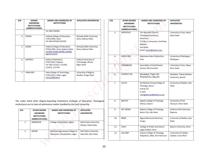| S/N | <b>DEGREE</b><br><b>AWARDING</b><br><b>INSTITUTIONS</b><br>(ABBREVIATIONS) | <b>NAMES AND ADDRESSES OF</b><br><b>INSTITUTIONS</b>                                                            | <b>AFFILIATED UNIVERSITIES</b>                             |
|-----|----------------------------------------------------------------------------|-----------------------------------------------------------------------------------------------------------------|------------------------------------------------------------|
|     |                                                                            | Tel: 083-230300.                                                                                                |                                                            |
| 4.  | <b>EDKAN</b>                                                               | Federal College of Education,<br>P.M.B.3045, Kano<br>Tel: 064-633101,623101                                     | Ahmadu Bello University,<br>Zaria, Kaduna State            |
| 5.  | EDZAR                                                                      | Federal College of Education,<br>P.M.B.1041, Zaria, Kaduna State<br>Tel:069-33106,335085,332082,<br>08037015076 | Ahmadu Bello University,<br>Zaria, Kaduna State            |
| 6.  | <b>KADPOLY</b>                                                             | Kaduna Polytechnic,<br>P.M.B 2021, Kaduna.<br>Tel: 062-211511, 211582,<br>211673, 211744                        | Federal University of<br>Technology, Minna,<br>Niger State |
| 7.  | YABA-DEG                                                                   | Yaba College of Technology,<br>P.M.B 2011, Yaba , Lagos<br>Tel:01/800160-4                                      | University of Nigeria,<br>Nsukka, Enugu State              |

The under listed other Degree-Awarding Institutions (Colleges of Education, Theological institutions) are to have all admissions matter handled by the host University.

| S/N | <b>OTHER DEGREE</b><br><b>AWARDING</b><br><b>INSTITUTIONS</b><br>(ABBREVIATIONS) | <b>NAMES AND ADDRESSES OF</b><br><b>INSTITUTIONS</b>             | <b>AFFILIATED</b><br><b>UNIVERSITIES</b>          |
|-----|----------------------------------------------------------------------------------|------------------------------------------------------------------|---------------------------------------------------|
| 1.  | <b>AGBORCOE</b>                                                                  | College of Education, Agbor                                      | Delta State University,<br>Abraka, Delta State.   |
| 2.  | <b>AOCOE</b>                                                                     | Adeniran Ogunsanya College of<br>Education, Otto/Ijanikin, Lagos | Ekiti State University,<br>Ado-Ekiti, Ekiti State |

|    | <b>DEGREE</b><br><b>AWARDING</b><br><b>INSTITUTIONS</b><br>(ABBREVIATIONS) | <b>NAMES AND ADDRESSES OF</b><br><b>INSTITUTIONS</b>                                                                                                           | <b>AFFILIATED UNIVERSITIES</b>                    | S/N | <b>OTHER DEGREE</b><br><b>AWARDING</b><br><b>INSTITUTIONS</b><br>(ABBREVIATIONS) | <b>NAMES AND ADDRESSES OF</b><br><b>INSTITUTIONS</b>                                                   | <b>AFFILIATED</b><br><b>UNIVERSITIES</b>       |
|----|----------------------------------------------------------------------------|----------------------------------------------------------------------------------------------------------------------------------------------------------------|---------------------------------------------------|-----|----------------------------------------------------------------------------------|--------------------------------------------------------------------------------------------------------|------------------------------------------------|
|    | <b>EDKAN</b>                                                               | Tel: 083-230300.<br>Federal College of Education,<br>P.M.B.3045, Kano<br>Tel: 064-633101,623101                                                                | Ahmadu Bello University,<br>Zaria, Kaduna State   | 3.  | <b>APOSTOLIC</b>                                                                 | The Apostolic Church<br>Theological Seminary,<br>Amumara,<br>P.O.Box 5, Amumara, Ezinihitte<br>Mbaise, | University of Uyo, Akwa-<br>Ibom State         |
|    | EDZAR                                                                      | Federal College of Education,<br>P.M.B.1041, Zaria, Kaduna State<br>Tel:069-33106,335085,332082,<br>08037015076                                                | Ahmadu Bello University,<br>Zaria, Kaduna State   |     | $\Box$                                                                           | Imo State.<br>Email: tactsa@yahoo.com                                                                  |                                                |
|    | KADPOLY                                                                    | Kaduna Polytechnic,<br>P.M.B 2021, Kaduna.                                                                                                                     | Federal University of<br>Technology, Minna,       | 4.  | ASPOL-DEG                                                                        | Adamawa State Polytechnic,<br>Yola.                                                                    | University of Maiduguri,<br>Maiduguri.         |
|    |                                                                            | Tel: 062-211511, 211582,<br>211673, 211744                                                                                                                     | Niger State                                       | 5.  | <b>ASSEMBLIES</b>                                                                | Assemblies of God Divinity<br>School, Old Umuahia                                                      | University of Uyo, Akwa-<br>Ibom State         |
|    | YABA-DEG                                                                   | Yaba College of Technology,<br>P.M.B 2011, Yaba , Lagos<br>Tel:01/800160-4                                                                                     | University of Nigeria,<br>Nsukka, Enugu State     | 6.  | ATAPOLY-DG                                                                       | Abubakar Tatari Ali<br>Polytechnic, Bauchi.                                                            | Abubakar Tafawa Balewa<br>University, Bauchi   |
|    |                                                                            |                                                                                                                                                                |                                                   | 7.  | <b>AVCTA</b>                                                                     | Archbishop Vining College of<br>Theology, Akure<br>P.M.B 727<br>E-mail:<br>viningdeansec@yahoo.co.uk   | University of Ibadan, Oyo<br>State             |
|    |                                                                            | nder listed other Degree-Awarding Institutions (Colleges of Education, Theological<br>tions) are to have all admissions matter handled by the host University. |                                                   | 8.  | <b>BAPTIST</b>                                                                   | Baptist College of Theology,<br>Obinze, Owerri                                                         | University of Port<br>Harcourt, River State    |
| N  | <b>OTHER DEGREE</b><br><b>AWARDING</b><br><b>INSTITUTIONS</b>              | <b>NAMES AND ADDRESSES OF</b><br><b>INSTITUTIONS</b>                                                                                                           | <b>AFFILIATED</b><br><b>UNIVERSITIES</b>          | 9.  | <b>BCT-BENIN</b>                                                                 | Baptist College of Theology,<br>Benin City, Edo State                                                  | Ambrose Alli University,<br>Ekpoma             |
| 1. | (ABBREVIATIONS)<br>AGBORCOE                                                | College of Education, Agbor                                                                                                                                    | Delta State University,                           | 10. | <b>BMSE</b>                                                                      | <b>Bigard Memorial Seminary,</b><br>Enugu.                                                             | University of Ibadan, Oyo<br>State             |
|    |                                                                            |                                                                                                                                                                | Abraka, Delta State.                              | 11. | CAILS                                                                            | College of Arabic and Islamic<br>Legal Studies, Ilorin                                                 | Bayero University, Kano                        |
| 2. | AOCOE                                                                      | Adeniran Ogunsanya College of<br>Education, Otto/Ijanikin, Lagos                                                                                               | Ekiti State University,<br>Ado-Ekiti, Ekiti State | 12. | CALVARY                                                                          | Calvary College of Theology,<br>Rukpokwu, Obio, Port Harcourt                                          | University of Calabar,<br>Calabar, Cross River |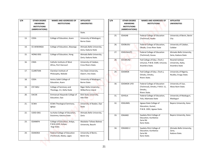| S/N | <b>OTHER DEGREE</b><br><b>AWARDING</b><br><b>INSTITUTIONS</b> | <b>NAMES AND ADDRESSES OF</b><br><b>INSTITUTIONS</b>              | <b>AFFILIATED</b><br><b>UNIVERSITIES</b>         |
|-----|---------------------------------------------------------------|-------------------------------------------------------------------|--------------------------------------------------|
|     | (ABBREVIATIONS)                                               |                                                                   |                                                  |
|     |                                                               |                                                                   | State.                                           |
| 13. | <b>COEA</b>                                                   | College of Education, Azare                                       | University of Maiduguri,<br><b>Borno State</b>   |
| 14. | CE-AKWANGA                                                    | College of Education, Akwanga                                     | Ahmadu Bello University,<br>Zaria, Kaduna State  |
| 15. | <b>HONG-DEG</b>                                               | College of Education, Hong                                        | Ahmadu Bello University,<br>Zaria, Kaduna State. |
| 16. | <b>CIWA</b>                                                   | Catholic Institute of West<br>Africa, Port Harcourt               | University of Calabar,<br>Cross Rivers State.    |
| 17. | <b>CLARETIAN</b>                                              | Claretian Institute of<br>Philosophy, Nekede                      | Imo State University,<br>Owerri, Imo State.      |
| 18. | <b>COEA</b>                                                   | Aminu Saleh College of<br><b>Education, Azare</b>                 | University of Maiduguri,<br><b>Borno State</b>   |
| 19. | <b>CST-NDU</b>                                                | College of Seminary and<br>Theology, Irri, Delta State            | Niger Delta University,<br>Wilberforce Island    |
| 20. | <b>EACOE</b>                                                  | <b>Emmanuel Alayande College of</b><br>Education, Oyo             | Ekiti State University,<br>Ado-Ekiti             |
| 21. | <b>ECWA</b>                                                   | <b>ECWA Theological Seminary,</b><br>Igbaja                       | University of Ibadan, Oyo<br><b>State</b>        |
| 22. | COED-DEG                                                      | Isa Kaita College of Education,<br>Dutsinma, Katsina State        | Ahmadu Bello University,<br>Zaria                |
| 23. | <b>EDANKPA</b>                                                | College of Education, Ankpa,<br>P.M.B.1033, Ankpa,<br>Kogi State. | Abubakar Tafawa Balewa<br>University, Bauchi     |
| 24. | <b>EDAKOKA</b>                                                | <b>Federal College of Education</b><br>(Technical), Akoka, Lagos  | University of Benin,<br>Benin City               |

|     | <b>OTHER DEGREE</b><br><b>AWARDING</b><br><b>INSTITUTIONS</b><br>(ABBREVIATIONS) | <b>NAMES AND ADDRESSES OF</b><br><b>INSTITUTIONS</b>                            | <b>AFFILIATED</b><br><b>UNIVERSITIES</b>         | S/N | <b>OTHER DEGREE</b><br><b>AWARDING</b><br><b>INSTITUTIONS</b><br>(ABBREVIATIONS) | <b>NAMES AND ADDRESSES OF</b><br><b>INSTITUTIONS</b>                           | <b>AFFILIATED</b><br><b>UNIVERSITIES</b>             |
|-----|----------------------------------------------------------------------------------|---------------------------------------------------------------------------------|--------------------------------------------------|-----|----------------------------------------------------------------------------------|--------------------------------------------------------------------------------|------------------------------------------------------|
|     |                                                                                  |                                                                                 | State.                                           | 25. | EDASAB                                                                           | Federal College of Education                                                   | University of Benin, Benin                           |
| 13. | <b>COEA</b>                                                                      | College of Education, Azare                                                     | University of Maiduguri,<br><b>Borno State</b>   |     |                                                                                  | (Technical), Asaba                                                             | City                                                 |
| 14. | CE-AKWANGA                                                                       | College of Education, Akwanga                                                   | Ahmadu Bello University,<br>Zaria, Kaduna State  | 26. | EDOBUDU                                                                          | Federal College of Education,<br>Obudu, Cross River State                      | University of Calabar,<br>Calabar                    |
| 15. | HONG-DEG                                                                         | College of Education, Hong                                                      | Ahmadu Bello University,<br>Zaria, Kaduna State. | 27. | EDGUSAU(T)                                                                       | <b>Federal College of Education</b><br>(Technical), Gusau                      | Ahmadu Bello University,<br>Zaria, Kaduna State      |
| 16. | <b>CIWA</b>                                                                      | Catholic Institute of West<br>Africa, Port Harcourt                             | University of Calabar,<br>Cross Rivers State.    | 28. | <b>EDUMUNZ</b>                                                                   | Fed College of Educ. (Tech.)<br>Umunze, P.M.B. 0189, Umunze,<br>Anambra State. | Nnamdi Azikiwe<br>University, Awka,<br>Anambra State |
| 17. | CLARETIAN                                                                        | Claretian Institute of<br>Philosophy, Nekede                                    | Imo State University,<br>Owerri, Imo State.      | 29. | <b>EDOMOK</b>                                                                    | Fed College of Educ. (Tech.),<br>Omoku, Omoku,                                 | University of Nigeria,<br>Nsukka, Enugu State.       |
| 18. | COEA                                                                             | Aminu Saleh College of<br>Education, Azare                                      | University of Maiduguri,<br><b>Borno State</b>   | 30. | EDOMOK-UYO                                                                       | Rivers State.<br><b>Federal College of Education</b>                           | University of Uyo,                                   |
| 19. | CST-NDU                                                                          | College of Seminary and<br>Theology, Irri, Delta State                          | Niger Delta University,<br>Wilberforce Island    |     |                                                                                  | (Technical), Omoku, P.M.B. 11,<br>Omoku,<br>Rivers State.                      | Akwa Ibom State.                                     |
| 20. | EACOE                                                                            | Emmanuel Alayande College of<br>Education, Oyo                                  | Ekiti State University,<br>Ado-Ekiti             | 31. | EDYOLA                                                                           | Federal College of Education,<br>Yola, Adamawa State                           | University of Maiduguri,<br>Maiduguri                |
| 21. | <b>ECWA</b>                                                                      | <b>ECWA Theological Seminary,</b><br>Igbaja                                     | University of Ibadan, Oyo<br>State               | 32. | EDGUMEL                                                                          | Jigawa State College of<br>Education, Gumel,<br>P.M.B. 1002, Jigawa State.     | Bayero University, Kano                              |
| 22. | COED-DEG                                                                         | Isa Kaita College of Education,<br>Dutsinma, Katsina State                      | Ahmadu Bello University,<br>Zaria                | 33. | <b>EDKANO</b>                                                                    | Saadatu Rimi College of<br>Education, Kumbotso                                 | Bayero University, Kano                              |
| 23. | EDANKPA                                                                          | College of Education, Ankpa,<br>P.M.B.1033, Ankpa,                              | Abubakar Tafawa Balewa<br>University, Bauchi     |     |                                                                                  | Zaria Rd.<br>Kano State.                                                       |                                                      |
| 24. | <b>EDAKOKA</b>                                                                   | Kogi State.<br><b>Federal College of Education</b><br>(Technical), Akoka, Lagos | University of Benin,                             | 34. | EDKANO-2                                                                         | Saadatu Rimi College of<br>Education, Kumbotso<br>Zaria Rd.                    | Ahmadu Bello University,<br>Zaria,<br>Kaduna State.  |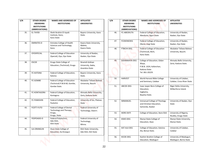| S/N | <b>OTHER DEGREE</b> | <b>NAMES AND ADDRESSES OF</b>        | AFFILIATED                 |
|-----|---------------------|--------------------------------------|----------------------------|
|     | <b>AWARDING</b>     | <b>INSTITUTIONS</b>                  | <b>UNIVERSITIES</b>        |
|     | <b>INSTITUTIONS</b> |                                      |                            |
|     | (ABBREVIATIONS)     |                                      |                            |
| 35. | EL-TAYEB            | Sheik Ibrahim El-tayeb               | Bayero University, Kano    |
|     |                     | Institute, Kano,                     | State.                     |
|     |                     | Kano State                           |                            |
| 36. | <b>EMIRATES-D</b>   | <b>Emirates College of Health</b>    | Kwara State University,    |
|     |                     | Sciences and Technology,             | Malete,                    |
|     |                     | Kano.                                | Kwara State.               |
| 37. | <b>OYOSPECIAL</b>   | <b>Federal College of Education</b>  | University of Ibadan,      |
|     |                     | (Special), Oyo, Oyo State            | Ibadan, Oyo State          |
| 38. | <b>ESCOE</b>        | Enugu State College of               | Nnamdi Azikiwe             |
|     |                     | Education, (Technical), Enugu        | University, Awka,          |
|     |                     |                                      | Anambra State              |
| 39. | <b>FC-KATSINA</b>   | Federal College of Education,        | Bayero University, Kano    |
|     |                     | Katsina                              | State.                     |
| 40. | FC-GOMBE            | <b>Federal College of Education</b>  | Abubakar Tafawa Balewa     |
|     |                     | (Technical) P.M.B 60, Gombe,         | University, Bauchi         |
|     |                     | Gombe State.                         |                            |
| 41. | FC-KONTAGORA        | Federal College of Education,        | Ahmadu Bello University,   |
|     |                     | Kontagora                            | Zaria, Kaduna State.       |
| 42. | <b>FC-PANKSHIN</b>  | Federal College of Education,        | University of Jos, Plateau |
|     |                     | Pankshin                             | <b>State</b>               |
| 43. | FCDTT-FUTO          | <b>Federal College of Dental</b>     | Federal University of      |
|     |                     | Technology and Therapy,              | Technology, Owerri.        |
|     |                     | Enugu,                               |                            |
| 44. | FEDPOADO-D          | Enugu, State<br>Federal Polytechnic, | Federal University of      |
|     |                     | Ado-Ekiti,                           | Technology,                |
|     |                     | <b>Ekiti State</b>                   |                            |
|     |                     |                                      | Minna.                     |
| 45. | <b>ILA-ORANGUN</b>  | Osun State College of                | Ekiti State University,    |
|     |                     | Education, Ila-Orangun               | Ado Ekiti, Ekit State      |
|     |                     |                                      |                            |

|     | <b>OTHER DEGREE</b><br><b>AWARDING</b><br><b>INSTITUTIONS</b><br>(ABBREVIATIONS) | <b>NAMES AND ADDRESSES OF</b><br><b>INSTITUTIONS</b>          | <b>AFFILIATED</b><br><b>UNIVERSITIES</b>             | S/N | <b>OTHER DEGREE</b><br><b>AWARDING</b><br><b>INSTITUTIONS</b><br>(ABBREVIATIONS) | <b>NAMES AND ADDRESSES OF</b><br><b>INSTITUTIONS</b>                             | <b>AFFILIATED</b><br><b>UNIVERSITIES</b>             |
|-----|----------------------------------------------------------------------------------|---------------------------------------------------------------|------------------------------------------------------|-----|----------------------------------------------------------------------------------|----------------------------------------------------------------------------------|------------------------------------------------------|
| 35. | EL-TAYEB                                                                         | Sheik Ibrahim El-tayeb<br>Institute, Kano,<br>Kano State      | Bayero University, Kano<br>State.                    | 46. | FC-ABEOKUTA                                                                      | Federal College of Education,<br>Abeokuta, Ogun State                            | University of Ibadan,<br>Ibadan, Oyo State           |
| 36. | <b>EMIRATES-D</b>                                                                | <b>Emirates College of Health</b><br>Sciences and Technology, | Kwara State University,<br>Malete,                   | 47. | <b>FCOKENEDEG</b>                                                                | Federal College of Education,<br>Okene, Kogi State                               | University of Ibadan,<br>Ibadan, Oyo State           |
| 37. | OYOSPECIAL                                                                       | Kano.<br>Federal College of Education                         | Kwara State.<br>University of Ibadan,                | 48. | FTBICHI-DEG                                                                      | <b>Federal College of Education</b><br>(Technical), Bichi,<br>Kano State.        | Abubakar Tafawa Balewa<br>University, Bauchi.        |
|     |                                                                                  | (Special), Oyo, Oyo State                                     | Ibadan, Oyo State                                    |     |                                                                                  |                                                                                  |                                                      |
| 38. | <b>ESCOE</b>                                                                     | Enugu State College of<br>Education, (Technical), Enugu       | Nnamdi Azikiwe<br>University, Awka,<br>Anambra State | 49. | GIDANWAYA-DEG                                                                    | College of Education, Gidan-<br>Waya,<br>P.M.B. 1024, Kafanchan,<br>Kaduna State | Ahmadu Bello University,<br>Zaria, Kaduna State.     |
| 39. | <b>FC-KATSINA</b>                                                                | Federal College of Education,<br>Katsina                      | Bayero University, Kano<br>State.                    |     |                                                                                  | Tel. 061-20229.                                                                  |                                                      |
| 40. | FC-GOMBE                                                                         | Federal College of Education<br>(Technical) P.M.B 60, Gombe,  | Abubakar Tafawa Balewa<br>University, Bauchi         | 50. | <b>HARVEST</b>                                                                   | World Harvest Bible College<br>and Seminary, Calabar                             | University of Calabar,<br>Calabar, Cross River State |
|     |                                                                                  | Gombe State.                                                  |                                                      | 51. | IJBCOE-DEG                                                                       | Isaac Jasper Boro College of<br>Education,                                       | Niger Delta University,<br>Wilberforce Island.       |
| 41. | FC-KONTAGORA                                                                     | Federal College of Education,<br>Kontagora                    | Ahmadu Bello University,<br>Zaria, Kaduna State.     |     |                                                                                  | Sagbama,<br>Bayelsa State.                                                       |                                                      |
| 42. | <b>FC-PANKSHIN</b>                                                               | Federal College of Education,<br>Pankshin                     | University of Jos, Plateau<br>State                  | 52. | IMMANUEL                                                                         | Immanuel College of Theology<br>and Christian Education,                         | University of Ibadan, Oyo<br>State                   |
| 43. | FCDTT-FUTO                                                                       | <b>Federal College of Dental</b><br>Technology and Therapy,   | Federal University of<br>Technology, Owerri.         |     |                                                                                  | Samonda, Ibadan                                                                  |                                                      |
|     |                                                                                  | Enugu,<br>Enugu, State                                        |                                                      | 53. | <b>IKERE-EKITI</b>                                                               | College of Education, Ikere Ekiti                                                | University of Nigeria,<br>Nsukka, Enugu State        |
| 44. | FEDPOADO-D                                                                       | Federal Polytechnic,<br>Ado-Ekiti,<br>Ekiti State             | Federal University of<br>Technology,<br>Minna.       | 54. | IKWO-DEG                                                                         | Ebonyi State College of<br>Education, Ikwo                                       | Ebonyi State University,<br>Ebonyi State.            |
| 45. | ILA-ORANGUN                                                                      | Osun State College of<br>Education, Ila-Orangun               | Ekiti State University,<br>Ado Ekiti, Ekit State     | 55. | KAT-ALA DEG                                                                      | College of Education, Katsina-<br>Ala, Benue State.                              | University of Calabar,<br>Calabar                    |
|     |                                                                                  |                                                               |                                                      | 56. | KICOE-DEG                                                                        | Kashim Ibrahim College of<br>Education, Maiduguri                                | University of Maiduguri,<br>Maiduguri, Borno State   |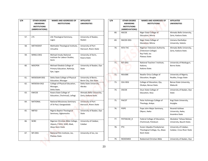| S/N<br><b>OTHER DEGREE</b> |                     | <b>NAMES AND ADDRESSES OF</b>                                                     | AFFILIATED                                       |
|----------------------------|---------------------|-----------------------------------------------------------------------------------|--------------------------------------------------|
|                            | <b>AWARDING</b>     | <b>INSTITUTIONS</b>                                                               | <b>UNIVERSITIES</b>                              |
|                            | <b>INSTITUTIONS</b> |                                                                                   |                                                  |
|                            | (ABBREVIATIONS)     |                                                                                   |                                                  |
|                            |                     |                                                                                   |                                                  |
| 57.                        | <b>LTS</b>          | Life Theological Seminary,<br>Lagos                                               | University of Ibadan,<br>Ibadan                  |
| 58.                        | <b>METHODIST</b>    | Methodist Theological Institute,<br>Umuahia                                       | University of Port<br>Harcourt, Rivers State     |
| 59.                        | MINILS-DEG          | Michael Imodu National<br>Institute for Labour Studies,<br>Ilorin                 | University of Ilorin,<br>Kwara State             |
| 60.                        | <b>MOCPEN</b>       | Michael Otedola College of<br>Primary Education, Noforija,<br>Epe, Lagos          | University of Ibadan, Oyo<br>State               |
| 61.                        | MOSOGAR-DEG         | Delta State College of Physical<br><b>Education, Mosogar</b>                      | University of Benin,<br>Benin City, Edo State.   |
| 62.                        | MOSOGA-DG2          | College of Physical Education,<br>Mosogar,<br>Delta State.                        | Delta State University,<br>Abraka                |
| 63.                        | <b>KWCOE</b>        | Kwara State College of<br>Education, (Technical), Lafiagi.                        | Ahmadu Bello University,<br>Zaria, Kaduna State. |
| 64.                        | <b>NATIONAL</b>     | <b>National Missionary Seminary</b><br>of St-Paul, Gwagwalada                     | University of Port<br>Harcourt, Rivers State     |
| 65.                        | <b>NBTSO</b>        | Nigeria Baptist Theological<br>Seminary, Ogbomosho                                | University of Ibadan, Oyo<br><b>State</b>        |
| 66.                        | <b>NCBC</b>         | Nigerian Christian Bible College,<br>Ukpom, P.M.B. 1040, Abak,<br>Akwa Ibom State | University of Calabar,<br>Calabar                |
| 67.                        | NFI-DEG             | National Film Institute, Jos,<br>Plateau State                                    | University of Jos, Jos                           |

|     | <b>OTHER DEGREE</b><br><b>AWARDING</b><br><b>INSTITUTIONS</b><br>(ABBREVIATIONS) | <b>NAMES AND ADDRESSES OF</b><br><b>INSTITUTIONS</b>                                   | <b>AFFILIATED</b><br><b>UNIVERSITIES</b>                   | S/N |     | <b>OTHER DEGREE</b><br><b>AWARDING</b><br><b>INSTITUTIONS</b><br>(ABBREVIATIONS) | <b>NAMES AND ADDRESSES OF</b><br><b>INSTITUTIONS</b>          | <b>AFFILIATED</b><br><b>UNIVERSITIES</b>             |
|-----|----------------------------------------------------------------------------------|----------------------------------------------------------------------------------------|------------------------------------------------------------|-----|-----|----------------------------------------------------------------------------------|---------------------------------------------------------------|------------------------------------------------------|
|     |                                                                                  |                                                                                        |                                                            |     | 68. | <b>NSCOE</b>                                                                     | Niger State College of                                        | Ahmadu Bello University,                             |
| 57. | <b>LTS</b>                                                                       | Life Theological Seminary,                                                             | University of Ibadan,                                      |     |     |                                                                                  | <b>Education, Minna</b>                                       | Zaria, Kaduna State.                                 |
|     |                                                                                  | Lagos                                                                                  | Ibadan                                                     |     | 69. | NSCOE-DEG                                                                        | Niger State College of<br>Education, Minna                    | Usmanu Danfodiyo<br>University, Sokoto.              |
| 58. | <b>METHODIST</b>                                                                 | Methodist Theological Institute,<br>Umuahia                                            | University of Port<br>Harcourt, Rivers State               |     | 70. | NTA-TVC                                                                          | <b>Nigerian Television Authority</b><br>(Television College)  | Ahmadu Bello University,<br>Zaria, Kaduna State.     |
| 59. | MINILS-DEG                                                                       | Michael Imodu National<br>Institute for Labour Studies,<br>Ilorin                      | University of Ilorin,<br>Kwara State                       |     |     |                                                                                  | Ray Field, Jos<br>Plateau State                               |                                                      |
| 60. | <b>MOCPEN</b>                                                                    | Michael Otedola College of<br>Primary Education, Noforija,<br>Epe, Lagos               | University of Ibadan, Oyo<br>State                         |     | 71. | NTI-DEG                                                                          | National Teachers' Institute,<br>Kaduna,<br>Kaduna State.     | University of Maiduguri,<br>Borno State.             |
| 61. | MOSOGAR-DEG                                                                      | Delta State College of Physical                                                        | University of Benin,                                       |     | 72. | <b>NSUGBE</b>                                                                    | Nwafor Orizu College of<br>Education, Nsugbe                  | University of Nigeria,<br>Nsukka, Enugu State        |
| 62. | MOSOGA-DG2                                                                       | <b>Education, Mosogar</b><br>College of Physical Education,                            | Benin City, Edo State.<br>Delta State University,          |     | 73. | OJU-DEG                                                                          | College of Education, Oju,<br>Otukpo, Benue State.            | Benue State University,<br>Makurdi.                  |
| 63. | KWCOE                                                                            | Mosogar,<br>Delta State.<br>Kwara State College of<br>Education, (Technical), Lafiagi. | Abraka<br>Ahmadu Bello University,<br>Zaria, Kaduna State. |     | 74. | <b>OSCOE</b>                                                                     | Osun State College of<br>Education, Ilesa                     | University of Ibadan, Oyo<br>State                   |
| 64. | <b>NATIONAL</b>                                                                  | <b>National Missionary Seminary</b><br>of St-Paul, Gwagwalada                          | University of Port<br>Harcourt, Rivers State               |     | 75. | PACOT                                                                            | Peter Achimugu College of<br>Theology, Ankpa.                 | Kogi State University,<br>Anyigba.                   |
| 65. | <b>NBTSO</b>                                                                     | Nigeria Baptist Theological<br>Seminary, Ogbomosho                                     | University of Ibadan, Oyo<br>State                         |     | 76. | POPE                                                                             | Pope John Major Seminary,<br>Okpun, Awka                      | Nnamdi Azikiwe<br>University, Awka,<br>Anambra State |
| 66. | <b>NCBC</b>                                                                      | Nigerian Christian Bible College,                                                      | University of Calabar,                                     |     | 77. | POTISKUM_D                                                                       | Federal College of Education,<br>(Technical), Potiskum        | Abubakar Tafawa Balewa<br>University, Bauchi State.  |
|     |                                                                                  | Ukpom, P.M.B. 1040, Abak,<br>Akwa Ibom State                                           | Calabar                                                    |     | 78. | PTC                                                                              | Essien Ukpabio Presbyterian<br>Theological College, Itu, Akwa | University of Calabar,<br>Calabar, Cross River State |
| 67. | NFI-DEG                                                                          | National Film Institute, Jos,<br>Plateau State                                         | University of Jos, Jos                                     |     |     |                                                                                  | Ibom State                                                    |                                                      |
|     |                                                                                  |                                                                                        |                                                            |     | 79. | REDEEMED                                                                         | Redeemed Christian Bible                                      | University of Ibadan, Oyo                            |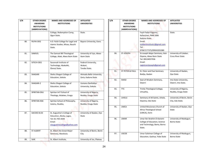| S/N | <b>OTHER DEGREE</b> | <b>NAMES AND ADDRESSES OF</b>    | AFFILIATED                 |
|-----|---------------------|----------------------------------|----------------------------|
|     | AWARDING            | <b>INSTITUTIONS</b>              | <b>UNIVERSITIES</b>        |
|     | <b>INSTITUTIONS</b> |                                  |                            |
|     | (ABBREVIATIONS)     |                                  |                            |
|     |                     | College, Redemption Camp,        | State.                     |
|     |                     | Ogun State.                      |                            |
|     |                     |                                  |                            |
| 80. | <b>RUFAI-DEG</b>    | A.D. Rufai College for Legal and | Bayero University, Kano.   |
|     |                     | Islamic Studies, Misau, Bauchi   |                            |
|     |                     | State.                           |                            |
|     |                     |                                  |                            |
| 81. | SAMUEL              | The Samuel Bill Theological      | University of Uyo, Akwa-   |
|     |                     | College, Abak, Akwa Ibom State   | Ibom State                 |
|     |                     |                                  |                            |
| 82. | SITECH-DEG          | Savannah Institute of            | Federal University,        |
|     |                     | Technology, Abakaliki,           | Wukari,                    |
|     |                     | Ebonyi State.                    | Taraba State.              |
|     |                     |                                  |                            |
| 83. | SHAGARI             | Shehu Shagari College of         | Ahmadu Bello University,   |
|     |                     | Education, Sokoto                | Zaria, Kaduna State        |
|     |                     |                                  |                            |
| 84. | SHAGARI-2           | Shehu Shagari College of         | Usmanu Danfodiyo           |
|     |                     | Education, Sokoto                | University, Sokoto         |
|     |                     |                                  |                            |
| 85. | SPIRITAN-ENU        | Spiritan Int'l School of         | University of Nigeria,     |
|     |                     | Theology, Attakwu, Enugu         | Nsukka, Enugu State        |
|     |                     |                                  |                            |
| 86. | SPIRITAN-NSK        | Spiritan School of Philosophy,   | University of Nigeria,     |
|     |                     | Issienu, Nsukka,                 | Nsukka, Enugu State        |
|     |                     |                                  |                            |
|     |                     |                                  |                            |
| 87. | SACOED B.ED         | St. Augustine's College of       | University of Ibadan, Oyo  |
|     |                     | Education, Akoka, Lagos,         | <b>State</b>               |
|     |                     | Tel: 01-793-3594                 |                            |
|     |                     | Email:                           |                            |
|     |                     | staugustinecollege@yahoo.com     |                            |
| 88. | ST-ALBERT           | St. Albert the Great Major       | University of Benin, Benin |
|     |                     | Seminary, Abeokuta.              | City                       |
|     |                     |                                  |                            |
| 89. | <b>SAIK</b>         | St. Albert Institute,            | University of Jos, Plateau |
|     |                     |                                  |                            |

| N   | <b>OTHER DEGREE</b><br><b>AWARDING</b><br><b>INSTITUTIONS</b><br>(ABBREVIATIONS) | <b>NAMES AND ADDRESSES OF</b><br><b>INSTITUTIONS</b>                         | <b>AFFILIATED</b><br><b>UNIVERSITIES</b>        | S/N | <b>OTHER DEGREE</b><br><b>AWARDING</b><br><b>INSTITUTIONS</b><br>(ABBREVIATIONS) | <b>NAMES AND ADDRESSES OF</b><br><b>INSTITUTIONS</b>                           | <b>AFFILIATED</b><br><b>UNIVERSITIES</b>           |
|-----|----------------------------------------------------------------------------------|------------------------------------------------------------------------------|-------------------------------------------------|-----|----------------------------------------------------------------------------------|--------------------------------------------------------------------------------|----------------------------------------------------|
|     |                                                                                  | College, Redemption Camp,<br>Ogun State.                                     | State.                                          |     |                                                                                  | Fayit-Fadan Kagoma,<br>Kafanchan, PMB 1006<br>Kaduna State.                    | State.                                             |
| 80. | RUFAI-DEG                                                                        | A.D. Rufai College for Legal and<br>Islamic Studies, Misau, Bauchi<br>State. | Bayero University, Kano.                        |     |                                                                                  | Email:<br>stalbertinstitute1@gmail.com<br>Tel:<br>07067177375/09043201080      |                                                    |
| 81. | SAMUEL                                                                           | The Samuel Bill Theological<br>College, Abak, Akwa Ibom State                | University of Uyo, Akwa-<br>Ibom State          | 90. | ST-JOSEPH                                                                        | St-Joseph Major Seminary, Ikot-<br>Ekpene, Akwa Ibom State<br>Tel: 08124057936 | University of Calabar,<br><b>Cross River State</b> |
| 82. | SITECH-DEG                                                                       | Savannah Institute of<br>Technology, Abakaliki,<br>Ebonyi State.             | Federal University,<br>Wukari,<br>Taraba State. |     |                                                                                  | Email:<br>registrarstjoseph@gmail.com                                          |                                                    |
| 83. | SHAGARI                                                                          | Shehu Shagari College of<br>Education, Sokoto                                | Ahmadu Bello University,<br>Zaria, Kaduna State | 91. | <b>ST PETER &amp; PAUL</b>                                                       | St. Peter and Paul Seminary<br>Bodija, Ibadan                                  | University of Ibadan,<br>Oyo State                 |
| 84. | SHAGARI-2                                                                        | Shehu Shagari College of<br>Education, Sokoto                                | Usmanu Danfodiyo<br>University, Sokoto          | 92. | SWSO                                                                             | Seat of Wisdom Seminary,<br>Owerri                                             | Imo State University,<br>Owerri, Imo State.        |
| 85. | SPIRITAN-ENU                                                                     | Spiritan Int'l School of<br>Theology, Attakwu, Enugu                         | University of Nigeria,<br>Nsukka, Enugu State   | 93. | <b>TTC</b>                                                                       | Trinity Theological College,<br>Umuahia,                                       | University of Nigeria,<br>Nsukka, Enugu State      |
| 86. | SPIRITAN-NSK                                                                     | Spiritan School of Philosophy,<br>Issienu, Nsukka,                           | University of Nigeria,<br>Nsukka, Enugu State   | 94. | UHIELE                                                                           | Seminary of All Saints, Uhiele,<br>Ekpoma, Edo State                           | University of Benin, Benin<br>City, Edo State.     |
|     |                                                                                  |                                                                              |                                                 | 95. | <b>UMCA</b>                                                                      | United Missionary Church of<br>Africa Theological School                       | University of Ibadan, Oyo<br>State                 |
| 87. | SACOED B.ED                                                                      | St. Augustine's College of<br>Education, Akoka, Lagos,<br>Tel: 01-793-3594   | University of Ibadan, Oyo<br>State              | 96. | <b>UMAR</b>                                                                      | (UMCA), Ilorin<br>Umar Ibn Ibrahim El-Kanemi                                   | University of Maiduguri,                           |
|     |                                                                                  | Email:<br>staugustinecollege@yahoo.com                                       |                                                 |     |                                                                                  | College of Education, Science<br>and Technology, Bama, Borno<br>State.         | <b>Borno State</b>                                 |
| 88. | ST-ALBERT                                                                        | St. Albert the Great Major<br>Seminary, Abeokuta.                            | University of Benin, Benin<br>City              | 97. | <b>USCOE</b>                                                                     | Umar Suleiman College of<br>Education, Gashua, Yobe State                      | University of Maiduguri,<br><b>Borno State</b>     |
| 89. | SAIK                                                                             | St. Albert Institute,                                                        | University of Jos, Plateau                      |     |                                                                                  |                                                                                |                                                    |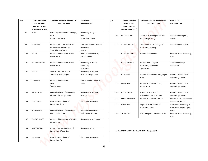| S/N  | <b>OTHER DEGREE</b><br><b>AWARDING</b><br><b>INSTITUTIONS</b><br>(ABBREVIATIONS) | <b>NAMES AND ADDRESSES OF</b><br><b>INSTITUTIONS</b>                         | <b>AFFILIATED</b><br><b>UNIVERSITIES</b>          | S/N  | <b>OTHER DEGREE</b><br><b>AWARDING</b><br><b>INSTITUTIONS</b><br>(ABBREVIATIONS) | <b>NAMES AND ADDRESSES OF</b><br><b>INSTITUTIONS</b>           | <b>AFFILIATED</b><br><b>UNIVERSITIES</b>                      |
|------|----------------------------------------------------------------------------------|------------------------------------------------------------------------------|---------------------------------------------------|------|----------------------------------------------------------------------------------|----------------------------------------------------------------|---------------------------------------------------------------|
| 98.  | <b>UUST</b>                                                                      | Uma Ukpai School of Theology,<br>Uyo,<br>Akwa Ibom State                     | University of Uyo,<br>Uyo,<br>Akwa Ibom State     | 110. | IMTENU-DEG                                                                       | Institute of Management and<br>Technology, Enugu               | University of Nigeria,<br>Nsukka                              |
| 99.  | VOM-DEG                                                                          | College of Animal Health and<br>Production Technology,<br>Vom, Plateau State | Abubakar Tafawa Balewa<br>University,<br>Bauchi   | 111. | AKAMKPA-DEG                                                                      | Cross River State College of<br>Education, Akamkpa             | University of Calabar                                         |
| 100. | WARRI                                                                            | College of Education, Warri<br>Delta State.                                  | Delta State University,<br>Abraka, Delta          | 112. | <b>KADPOLY-ABU</b>                                                               | Kaduna Polytechnic                                             | Ahmadu Bello University,<br>Zaria                             |
| 101. | WARRICOE-DEG                                                                     | College of Education, Warri,<br>Delta State.                                 | University of Benin,<br>Benin City,<br>Edo State. | 113. | <b>IJEBUODE-DEG</b>                                                              | Tai Solarin College of<br>Education, Ijebu Ode,<br>Ogun State. | Olabisi Onabanjo<br>University                                |
| 102. | <b>WATSI</b>                                                                     | West Africa Theological<br>Seminary, Ipaja, Lagos                            | University of Nigeria,<br>Nsukka, Enugu State     | 114. | <b>BIDA-DEG</b>                                                                  | Federal Polytechnic, Bida, Niger<br>State                      | Federal University of<br>Technology, Minna                    |
| 103. | ZING-DEG                                                                         | College of Education,<br>Zing,<br>Taraba State                               | Ahmadu Bello University,<br>Zaria                 | 115. | OFFA-DEG                                                                         | Federal Polytechnic, Offa,<br>Kwara State                      | Federal University of<br>Technology, Minna                    |
| 104. | AMUFU-DEG                                                                        | Federal College of Education,<br>Eha-Amufu, Enugu State                      | University of Nigeria.<br>Nsukka                  | 116. | KATPOLY-DEG                                                                      | Hassan Usman Katsina<br>Polytechnic, Katsina State             | Federal University of<br>Technology, Minna                    |
| 105. | KWCOE-DEG                                                                        | Kwara State College of                                                       | <b>Ekiti State University</b>                     | 117. | FEDPOBAU-DEG                                                                     | Federal Polytechnic, Bauchi                                    | Abubakar Tafawa Balewa<br>University, Bauchi                  |
| 106. | GUSAU-DEG                                                                        | Education, Ilorin<br>Federal College of Education                            | Federal University of                             | 118. | NASE-DEG                                                                         | Nigerian Army School of<br>Education, Ilorin                   | Tai Solarin University of<br>Education, Ijagun, Ogun<br>State |
|      |                                                                                  | (Technical), Gusau                                                           | Technology, Minna                                 | 119. | ZUBA-DEG                                                                         | FCT College of Education, Zuba                                 | Ahmadu Bello University,<br>Zaria                             |
| 107. | WAKABIU-DEG                                                                      | College of Education, Waka-Biu,<br><b>Borno State</b>                        | University of Maiduguri                           |      |                                                                                  |                                                                |                                                               |
| 108. | AKSCOE-DEG                                                                       | Akwa Ibom State College of<br>Education, Afaha-Nsit                          | University of Uyo                                 |      |                                                                                  | E-LEARNING UNIVERSITIES OF NIGERIA (ELUON)                     |                                                               |
| 109. | ORO-DEG                                                                          | Kwara State College of<br>Education, Oro                                     | <b>Ekiti State University</b>                     |      |                                                                                  |                                                                |                                                               |

| S/N  | <b>OTHER DEGREE</b> | <b>NAMES AND ADDRESSES OF</b>    | <b>AFFILIATED</b>         |
|------|---------------------|----------------------------------|---------------------------|
|      | <b>AWARDING</b>     | <b>INSTITUTIONS</b>              | <b>UNIVERSITIES</b>       |
|      | <b>INSTITUTIONS</b> |                                  |                           |
|      | (ABBREVIATIONS)     |                                  |                           |
|      |                     |                                  |                           |
| 110. | IMTENU-DEG          | Institute of Management and      | University of Nigeria,    |
|      |                     | Technology, Enugu                | Nsukka                    |
|      |                     |                                  |                           |
| 111. | AKAMKPA-DEG         | Cross River State College of     | University of Calabar     |
|      |                     | Education, Akamkpa               |                           |
|      |                     |                                  |                           |
| 112. | <b>KADPOLY-ABU</b>  | Kaduna Polytechnic               | Ahmadu Bello University,  |
|      |                     |                                  | Zaria                     |
|      |                     |                                  |                           |
| 113. | <b>IJEBUODE-DEG</b> | Tai Solarin College of           | Olabisi Onabanjo          |
|      |                     | Education, Ijebu Ode,            | University                |
|      |                     | Ogun State.                      |                           |
|      |                     |                                  |                           |
| 114. | <b>BIDA-DEG</b>     | Federal Polytechnic, Bida, Niger | Federal University of     |
|      |                     | State                            | Technology, Minna         |
|      |                     |                                  |                           |
| 115. | OFFA-DEG            | Federal Polytechnic, Offa,       | Federal University of     |
|      |                     | Kwara State                      | Technology, Minna         |
|      |                     |                                  |                           |
| 116. | KATPOLY-DEG         | Hassan Usman Katsina             | Federal University of     |
|      |                     | Polytechnic, Katsina State       | Technology, Minna         |
| 117. | FEDPOBAU-DEG        | Federal Polytechnic, Bauchi      | Abubakar Tafawa Balewa    |
|      |                     |                                  | University, Bauchi        |
| 118. | NASE-DEG            | Nigerian Army School of          | Tai Solarin University of |
|      |                     | Education, Ilorin                | Education, Ijagun, Ogun   |
|      |                     |                                  | State                     |
| 119. | ZUBA-DEG            | FCT College of Education, Zuba   | Ahmadu Bello University,  |
|      |                     |                                  | Zaria                     |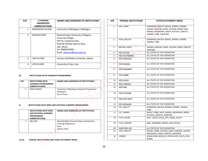| S/N            | <b>E-LEARNING</b><br><b>UNVERSITIES</b><br>(ABBREVIATIONS) | <b>NAMES AND ADDRESSES OF INSTITUTIONS</b>                                                                                                                                                 |
|----------------|------------------------------------------------------------|--------------------------------------------------------------------------------------------------------------------------------------------------------------------------------------------|
| $\mathbf{1}$ . | MAIDUGURI-ELUON                                            | University of Maiduguri, Maiduguri                                                                                                                                                         |
| 2.             | <b>NOUN-ELUON</b>                                          | National Open University of Nigeria,<br>University Village,<br>Plot 91, Cadastral Zone,<br>Nnamdi Azikiwe Express Way,<br>Jabi, Abuja,<br>Tel: 08082629830<br>Email: registrar@noun.edu.ng |
| 3.             | UDU-ELUON                                                  | Usmanu Danfodiyo University, Sokoto                                                                                                                                                        |
| 4.             | UYO-ELUON                                                  | University of Uyo, Uyo                                                                                                                                                                     |

#### **M. INSTITUTIONS WITH SANDWICH PROGRAMMES**

| S/N | <b>INSTITUTIONS WITH</b><br><b>SANDWICH PROGRAMMES</b><br>(ABBREVIATIONS) | NAMES AND ADDRESSES OF INSTITUTIONS                                       |
|-----|---------------------------------------------------------------------------|---------------------------------------------------------------------------|
|     | MAID-SDWCH                                                                | University of Maiduguri Sandwich Programme.<br>Maiduguri,<br>Borno State. |

#### **N. INSTITUTIONS WITH OPEN AND DISTANCE LEARNING PROGRAMMES**

|              | <b>INSTITUTIONS WITH OPEN</b><br>AND DISTANCE LEARNING<br><b>PROGRAMMES</b><br>(ABBREVIATIONS) | <b>NAMES AND ADDRESSES OF INSTITUTIONS</b>                                                  |
|--------------|------------------------------------------------------------------------------------------------|---------------------------------------------------------------------------------------------|
| $\mathbf{1}$ | ABU-ODL                                                                                        | Ahmadu Bello University Open and Distance<br>Learning Programme,<br>Zaria,<br>Kaduna State. |

#### **2.0.01 FEDERAL INSTITUTIONS AND THEIR CATCHMENT AREAS**

| S/N                                                            | <b>E-LEARNING</b><br><b>UNVERSITIES</b>                                     | NAMES AND ADDRESSES OF INSTITUTIONS                                                                                    | S/N | <b>FEDERAL INSTITUTIONS</b> | <b>STATE/CATCHMENT AREAS</b>                                                                                                                              |
|----------------------------------------------------------------|-----------------------------------------------------------------------------|------------------------------------------------------------------------------------------------------------------------|-----|-----------------------------|-----------------------------------------------------------------------------------------------------------------------------------------------------------|
| 1.                                                             | (ABBREVIATIONS)<br>MAIDUGURI-ELUON                                          | University of Maiduguri, Maiduguri                                                                                     | 1.  | ABU, ZARIA                  | ADAMAWA, BAUCHI, BENUE, BORNO, GOMBE,<br>JIGAWA, KADUNA, KANO, KATSINA, KEBBI, KOGI,<br>KWARA, NASARAWA, NIGER, PLATEAU, SOKOTO,<br>TARABA. YOBE, ZAMFARA |
| 2.                                                             | <b>NOUN-ELUON</b>                                                           | National Open University of Nigeria,<br>University Village,<br>Plot 91, Cadastral Zone,<br>Nnamdi Azikiwe Express Way, | 2.  | ATBU, BAUCHI                | ADAMAWA, BAUCHI, BENUE, BORNO, GOMBE,<br>TARABA, YOBE                                                                                                     |
|                                                                |                                                                             | Jabi, Abuja,<br>Tel: 08082629830                                                                                       | 3.  | BAYERO, KANO                | JIGAWA, KADUNA, KANO, KATSINA, KEBBI, SOKOTO,<br>ZAMFARA                                                                                                  |
|                                                                |                                                                             | Email: registrar@noun.edu.ng                                                                                           | 4.  | FED-DUTSE                   | ALL STATES OF THE FEDERATION                                                                                                                              |
|                                                                |                                                                             |                                                                                                                        | 5.  | FED-DUTSINMA                | ALL STATES OF THE FEDERATION                                                                                                                              |
| 3.                                                             | UDU-ELUON                                                                   | Usmanu Danfodiyo University, Sokoto                                                                                    | 6.  | <b>FED-GASHUA</b>           | ALL STATES OF THE FEDERATION                                                                                                                              |
| 4.                                                             | UYO-ELUON                                                                   | University of Uyo, Uyo                                                                                                 | 7.  | <b>FED-GUSAU</b>            | ALL STATES OF THE FEDERATION                                                                                                                              |
|                                                                |                                                                             |                                                                                                                        | 8.  | <b>FED-KASHERE</b>          | ALL STATES OF THE FEDERATION                                                                                                                              |
|                                                                | <b>INSTITUTIONS WITH SANDWICH PROGRAMMES</b>                                |                                                                                                                        | 9.  | FED-KEBBI                   | ALL STATES OF THE FEDERATION                                                                                                                              |
|                                                                | <b>INSTITUTIONS WITH</b>                                                    | <b>NAMES AND ADDRESSES OF INSTITUTIONS</b>                                                                             | 10. | FED-LAFIA                   | ALL STATES OF THE FEDERATION                                                                                                                              |
|                                                                | SANDWICH PROGRAMMES                                                         |                                                                                                                        | 11. | FED-LOKOJA                  | ALL STATES OF THE FEDERATION                                                                                                                              |
| 1.                                                             | (ABBREVIATIONS)<br>MAID-SDWCH                                               | University of Maiduguri Sandwich Programme.                                                                            | 12. | <b>AEFUNA</b>               | ALL STATES OF THE FEDERATION                                                                                                                              |
|                                                                |                                                                             | Maiduguri,<br>Borno State.                                                                                             | 13. | FED-OTUOKE                  | ALL STATES OF THE FEDERATION                                                                                                                              |
|                                                                |                                                                             |                                                                                                                        | 14. | FED-OYE EKITI               | ALL STATES OF THE FEDERATION                                                                                                                              |
| <b>INSTITUTIONS WITH OPEN AND DISTANCE LEARNING PROGRAMMES</b> |                                                                             |                                                                                                                        | 15. | FED-WUKARI                  | ALL STATES OF THE FEDERATION                                                                                                                              |
|                                                                |                                                                             |                                                                                                                        | 16. | FUT, MAUTY                  | ADAMAWA, BAUCHI, BORNO, GOMBE, TARABA,<br>YOBE                                                                                                            |
|                                                                | <b>INSTITUTIONS WITH OPEN</b><br>AND DISTANCE LEARNING<br><b>PROGRAMMES</b> | NAMES AND ADDRESSES OF INSTITUTIONS                                                                                    | 17. | FUT, MINNA                  | BENUE, KEBBI, KOGI, KWARA, NASARAWA, NIGER,<br>PLATEAU, SOKOTO, ZAMFARA                                                                                   |
|                                                                | (ABBREVIATIONS)<br>ABU-ODL                                                  | Ahmadu Bello University Open and Distance                                                                              | 18. | FUTA, AKURE                 | EKITI, LAGOS, OSUN, OYO, ONDO, OGUN                                                                                                                       |
| 1.                                                             |                                                                             | Learning Programme,<br>Zaria,                                                                                          | 19. | FUTO, OWERRI                | ABIA, ANAMBRA, EBONYI, IMO, ENUGU                                                                                                                         |
|                                                                |                                                                             | Kaduna State.                                                                                                          | 20. | MARITIME-UNI                | ALL STATES OF THE FEDERATION                                                                                                                              |
|                                                                |                                                                             |                                                                                                                        | 21. | UDU, SOKOTO                 | KWARA, KEBBI, KATSINA, KANO, KADUNA, JIGAWA,                                                                                                              |
|                                                                |                                                                             |                                                                                                                        | 22. | <b>UNIBEN</b>               | NASARAWA, NIGER, SOKOTO, ZAMFARA<br>AKWA-IBOM, BAYELSA, CROSS-RIVER, DELTA, EDO,<br><b>RIVERS</b>                                                         |